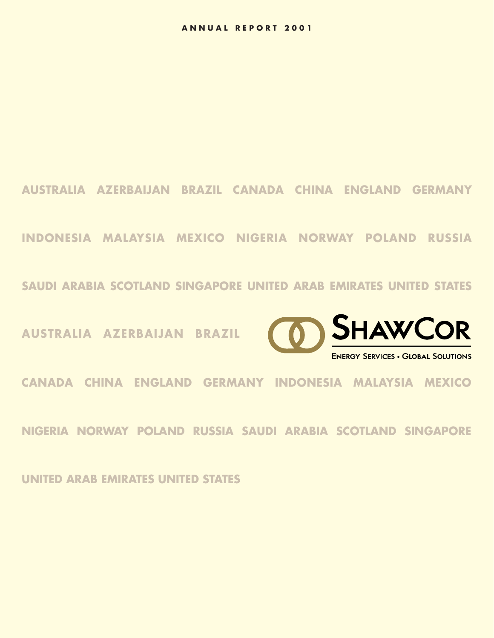**AUSTRALIA AZERBAIJAN BRAZIL CANADA CHINA ENGLAND GERMANY**

**INDONESIA MALAYSIA MEXICO NIGERIA NORWAY POLAND RUSSIA** 

**SAUDI ARABIA SCOTLAND SINGAPORE UNITED ARAB EMIRATES UNITED STATES**

**AUSTRALIA AZERBAIJAN BRAZIL** 



**CANADA CHINA ENGLAND GERMANY INDONESIA MALAYSIA MEXICO** 

**NIGERIA NORWAY POLAND RUSSIA SAUDI ARABIA SCOTLAND SINGAPORE** 

**UNITED ARAB EMIRATES UNITED STATES**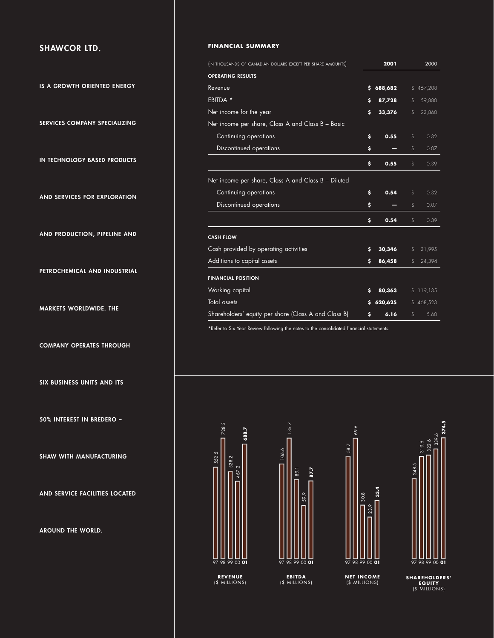# **SHAWCOR LTD.**

**IS A GROWTH ORIENTED ENERGY**

**SERVICES COMPANY SPECIALIZING**

**IN TECHNOLOGY BASED PRODUCTS**

**AND SERVICES FOR EXPLORATION**

**AND PRODUCTION, PIPELINE AND**

**PETROCHEMICAL AND INDUSTRIAL**

**MARKETS WORLDWIDE. THE**

**COMPANY OPERATES THROUGH**

**SIX BUSINESS UNITS AND ITS**

**50% INTEREST IN BREDERO –**

**SHAW WITH MANUFACTURING**

**AND SERVICE FACILITIES LOCATED**

**AROUND THE WORLD.** 

## **FINANCIAL SUMMARY**

| (IN THOUSANDS OF CANADIAN DOLLARS EXCEPT PER SHARE AMOUNTS) |    | 2001    | 2000 |           |  |
|-------------------------------------------------------------|----|---------|------|-----------|--|
| OPERATING RESULTS                                           |    |         |      |           |  |
| Revenue                                                     | s. | 688,682 |      | \$467,208 |  |
| EBITDA *                                                    | \$ | 87,728  | \$   | 59,880    |  |
| Net income for the year                                     | \$ | 33,376  | \$   | 23,860    |  |
| Net income per share, Class A and Class B – Basic           |    |         |      |           |  |
| Continuing operations                                       | \$ | 0.55    | \$   | 0.32      |  |
| Discontinued operations                                     | \$ |         | \$   | 0.07      |  |
|                                                             | \$ | 0.55    | \$   | 0.39      |  |
| Net income per share, Class A and Class B - Diluted         |    |         |      |           |  |
| Continuing operations                                       | \$ | 0.54    | \$   | 0.32      |  |
| Discontinued operations                                     | \$ |         | \$   | 0.07      |  |
|                                                             | \$ | 0.54    | \$   | 0.39      |  |
| <b>CASH FLOW</b>                                            |    |         |      |           |  |
| Cash provided by operating activities                       | \$ | 30,346  | \$   | 31,995    |  |
| Additions to capital assets                                 | \$ | 86,458  | \$   | 24,394    |  |
| <b>FINANCIAL POSITION</b>                                   |    |         |      |           |  |
| Working capital                                             | \$ | 80,363  |      | \$119,135 |  |
| <b>Total</b> assets                                         | \$ | 620,625 |      | \$468,523 |  |
| Shareholders' equity per share (Class A and Class B)        | \$ | 6.16    | \$   | 5.60      |  |
|                                                             |    |         |      |           |  |

\*Refer to Six Year Review following the notes to the consolidated financial statements.









**374.5**

**SHAREHOLDERS' EQUITY** (\$ MILLIONS)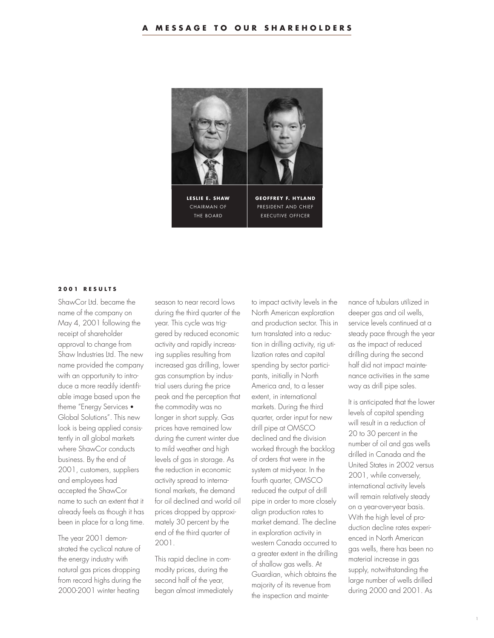

## **2001 RESULTS**

ShawCor Ltd. became the name of the company on May 4, 2001 following the receipt of shareholder approval to change from Shaw Industries Ltd. The new name provided the company with an opportunity to introduce a more readily identifiable image based upon the theme "Energy Services • Global Solutions". This new look is being applied consistently in all global markets where ShawCor conducts business. By the end of 2001, customers, suppliers and employees had accepted the ShawCor name to such an extent that it already feels as though it has been in place for a long time.

The year 2001 demonstrated the cyclical nature of the energy industry with natural gas prices dropping from record highs during the 2000-2001 winter heating

season to near record lows during the third quarter of the year. This cycle was triggered by reduced economic activity and rapidly increasing supplies resulting from increased gas drilling, lower gas consumption by industrial users during the price peak and the perception that the commodity was no longer in short supply. Gas prices have remained low during the current winter due to mild weather and high levels of gas in storage. As the reduction in economic activity spread to international markets, the demand for oil declined and world oil prices dropped by approximately 30 percent by the end of the third quarter of 2001.

This rapid decline in commodity prices, during the second half of the year, began almost immediately

to impact activity levels in the North American exploration and production sector. This in turn translated into a reduction in drilling activity, rig utilization rates and capital spending by sector participants, initially in North America and, to a lesser extent, in international markets. During the third quarter, order input for new drill pipe at OMSCO declined and the division worked through the backlog of orders that were in the system at mid-year. In the fourth quarter, OMSCO reduced the output of drill pipe in order to more closely align production rates to market demand. The decline in exploration activity in western Canada occurred to a greater extent in the drilling of shallow gas wells. At Guardian, which obtains the majority of its revenue from the inspection and mainte-

nance of tubulars utilized in deeper gas and oil wells. service levels continued at a steady pace through the year as the impact of reduced drilling during the second half did not impact maintenance activities in the same way as drill pipe sales.

It is anticipated that the lower levels of capital spending will result in a reduction of 20 to 30 percent in the number of oil and gas wells drilled in Canada and the United States in 2002 versus 2001, while conversely, international activity levels will remain relatively steady on a year-over-year basis. With the high level of production decline rates experienced in North American gas wells, there has been no material increase in gas supply, notwithstanding the large number of wells drilled during 2000 and 2001. As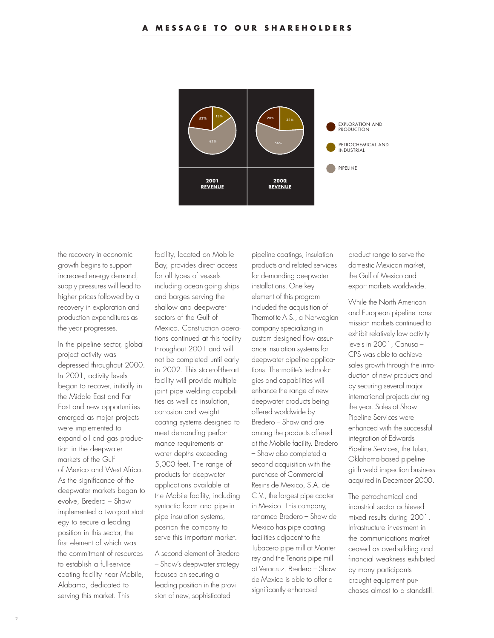

the recovery in economic growth begins to support increased energy demand, supply pressures will lead to higher prices followed by a recovery in exploration and production expenditures as the year progresses.

In the pipeline sector, global project activity was depressed throughout 2000. In 2001, activity levels began to recover, initially in the Middle East and Far East and new opportunities emerged as major projects were implemented to expand oil and gas production in the deepwater markets of the Gulf of Mexico and West Africa. As the significance of the deepwater markets began to evolve, Bredero – Shaw implemented a two-part strategy to secure a leading position in this sector, the first element of which was the commitment of resources to establish a full-service coating facility near Mobile, Alabama, dedicated to serving this market. This

facility, located on Mobile Bay, provides direct access for all types of vessels including ocean-going ships and barges serving the shallow and deepwater sectors of the Gulf of Mexico. Construction operations continued at this facility throughout 2001 and will not be completed until early in 2002. This state-of-the-art facility will provide multiple joint pipe welding capabilities as well as insulation, corrosion and weight coating systems designed to meet demanding performance requirements at water depths exceeding 5,000 feet. The range of products for deepwater applications available at the Mobile facility, including syntactic foam and pipe-inpipe insulation systems, position the company to serve this important market.

A second element of Bredero – Shaw's deepwater strategy focused on securing a leading position in the provision of new, sophisticated

pipeline coatings, insulation products and related services for demanding deepwater installations. One key element of this program included the acquisition of Thermotite A.S., a Norwegian company specializing in custom designed flow assurance insulation systems for deepwater pipeline applications. Thermotite's technologies and capabilities will enhance the range of new deepwater products being offered worldwide by Bredero – Shaw and are among the products offered at the Mobile facility. Bredero – Shaw also completed a second acquisition with the purchase of Commercial Resins de Mexico, S.A. de C.V., the largest pipe coater in Mexico. This company, renamed Bredero – Shaw de Mexico has pipe coating facilities adjacent to the Tubacero pipe mill at Monterrey and the Tenaris pipe mill at Veracruz. Bredero – Shaw de Mexico is able to offer a significantly enhanced

product range to serve the domestic Mexican market, the Gulf of Mexico and export markets worldwide.

While the North American and European pipeline transmission markets continued to exhibit relatively low activity levels in 2001, Canusa – CPS was able to achieve sales growth through the introduction of new products and by securing several major international projects during the year. Sales at Shaw Pipeline Services were enhanced with the successful integration of Edwards Pipeline Services, the Tulsa, Oklahoma-based pipeline girth weld inspection business acquired in December 2000.

The petrochemical and industrial sector achieved mixed results during 2001. Infrastructure investment in the communications market ceased as overbuilding and financial weakness exhibited by many participants brought equipment purchases almost to a standstill.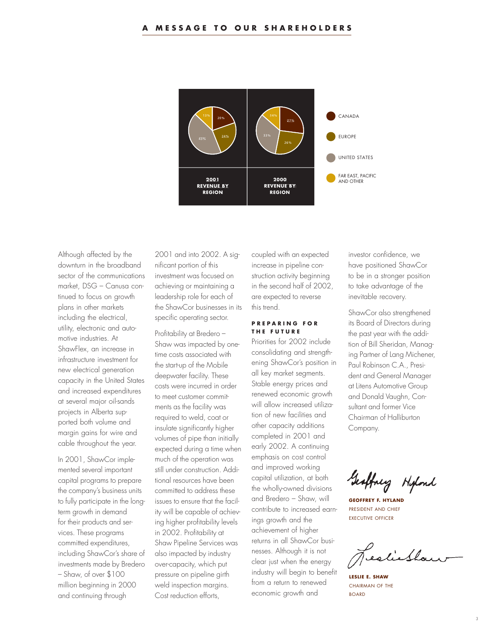

Although affected by the downturn in the broadband sector of the communications market, DSG – Canusa continued to focus on growth plans in other markets including the electrical, utility, electronic and automotive industries. At ShawFlex, an increase in infrastructure investment for new electrical generation capacity in the United States and increased expenditures at several major oil-sands projects in Alberta supported both volume and margin gains for wire and cable throughout the year.

In 2001, ShawCor implemented several important capital programs to prepare the company's business units to fully participate in the longterm growth in demand for their products and services. These programs committed expenditures, including ShawCor's share of investments made by Bredero – Shaw, of over \$100 million beginning in 2000 and continuing through

2001 and into 2002. A significant portion of this investment was focused on achieving or maintaining a leadership role for each of the ShawCor businesses in its specific operating sector.

Profitability at Bredero – Shaw was impacted by onetime costs associated with the start-up of the Mobile deepwater facility. These costs were incurred in order to meet customer commitments as the facility was required to weld, coat or insulate significantly higher volumes of pipe than initially expected during a time when much of the operation was still under construction. Additional resources have been committed to address these issues to ensure that the facility will be capable of achieving higher profitability levels in 2002. Profitability at Shaw Pipeline Services was also impacted by industry over-capacity, which put pressure on pipeline girth weld inspection margins. Cost reduction efforts,

coupled with an expected increase in pipeline construction activity beginning in the second half of 2002, are expected to reverse this trend.

## **PREPARING FOR THE FUTURE**

Priorities for 2002 include consolidating and strengthening ShawCor's position in all key market segments. Stable energy prices and renewed economic growth will allow increased utilization of new facilities and other capacity additions completed in 2001 and early 2002. A continuing emphasis on cost control and improved working capital utilization, at both the wholly-owned divisions and Bredero – Shaw, will contribute to increased earnings growth and the achievement of higher returns in all ShawCor businesses. Although it is not clear just when the energy industry will begin to benefit from a return to renewed economic growth and

investor confidence, we have positioned ShawCor to be in a stronger position to take advantage of the inevitable recovery.

ShawCor also strengthened its Board of Directors during the past year with the addition of Bill Sheridan, Managing Partner of Lang Michener, Paul Robinson C.A., President and General Manager at Litens Automotive Group and Donald Vaughn, Consultant and former Vice Chairman of Halliburton Company.

Geoffney Hipond

**GEOFFREY F. HYLAND** PRESIDENT AND CHIEF EXECUTIVE OFFICER

estilla

**LESLIE E. SHAW** CHAIRMAN OF THE BOARD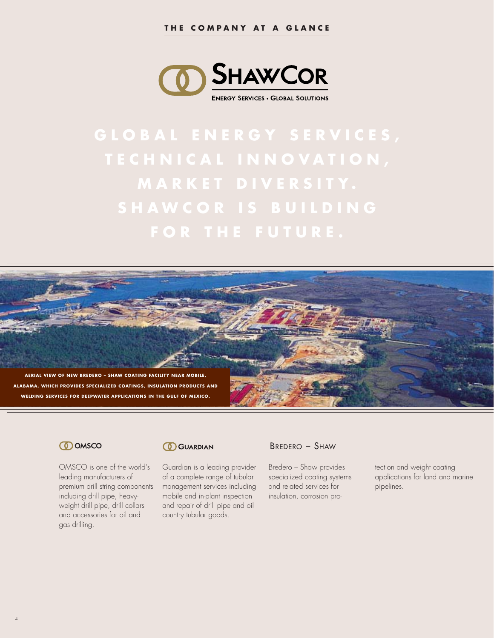

**GLOBAL ENERGY SERVICES,**



## **CO** OMSCO

4

OMSCO is one of the world's leading manufacturers of premium drill string components including drill pipe, heavyweight drill pipe, drill collars and accessories for oil and gas drilling.

## **CO** GUARDIAN

Guardian is a leading provider of a complete range of tubular management services including mobile and in-plant inspection and repair of drill pipe and oil country tubular goods.

## BREDERO – SHAW

Bredero – Shaw provides specialized coating systems and related services for insulation, corrosion pro-

tection and weight coating applications for land and marine pipelines.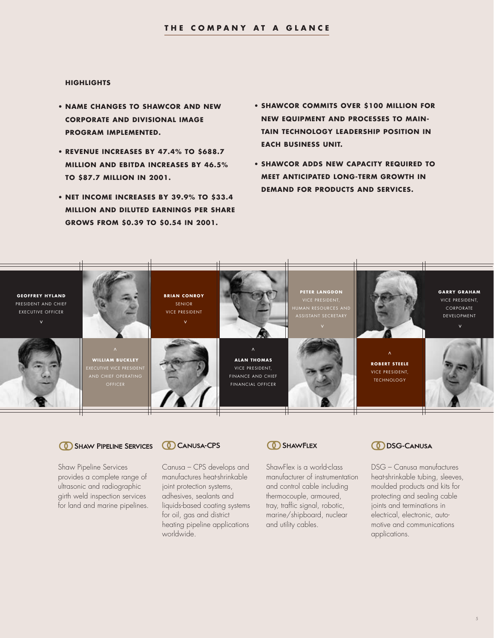#### **HIGHLIGHTS**

- **• NAME CHANGES TO SHAWCOR AND NEW CORPORATE AND DIVISIONAL IMAGE PROGRAM IMPLEMENTED.**
- **• REVENUE INCREASES BY 47.4% TO \$688.7 MILLION AND EBITDA INCREASES BY 46.5% TO \$87.7 MILLION IN 2001.**
- **• NET INCOME INCREASES BY 39.9% TO \$33.4 MILLION AND DILUTED EARNINGS PER SHARE GROWS FROM \$0.39 TO \$0.54 IN 2001.**
- **• SHAWCOR COMMITS OVER \$100 MILLION FOR NEW EQUIPMENT AND PROCESSES TO MAIN-TAIN TECHNOLOGY LEADERSHIP POSITION IN EACH BUSINESS UNIT.**
- **• SHAWCOR ADDS NEW CAPACITY REQUIRED TO MEET ANTICIPATED LONG-TERM GROWTH IN DEMAND FOR PRODUCTS AND SERVICES.**



## **6 SHAW PIPELINE SERVICES**

Shaw Pipeline Services provides a complete range of ultrasonic and radiographic girth weld inspection services for land and marine pipelines.

## **CANUSA-CPS**

Canusa – CPS develops and manufactures heat-shrinkable joint protection systems, adhesives, sealants and liquids-based coating systems for oil, gas and district heating pipeline applications worldwide.



ShawFlex is a world-class manufacturer of instrumentation and control cable including thermocouple, armoured, tray, traffic signal, robotic, marine/shipboard, nuclear and utility cables.

# **DISG-CANUSA**

DSG – Canusa manufactures heat-shrinkable tubing, sleeves, moulded products and kits for protecting and sealing cable joints and terminations in electrical, electronic, automotive and communications applications.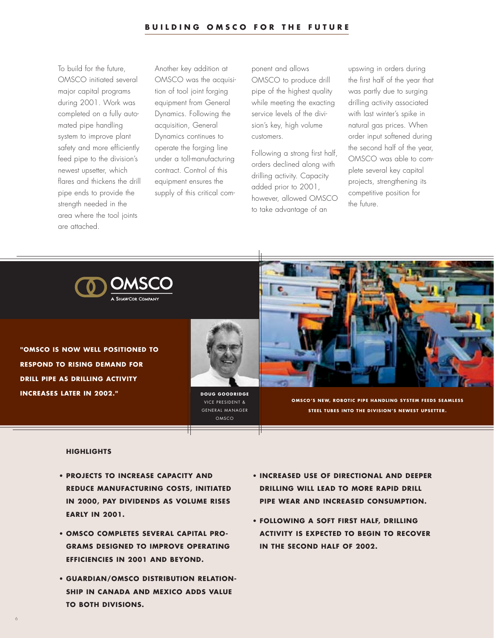To build for the future, OMSCO initiated several major capital programs during 2001. Work was completed on a fully automated pipe handling system to improve plant safety and more efficiently feed pipe to the division's newest upsetter, which flares and thickens the drill pipe ends to provide the strength needed in the area where the tool joints are attached.

Another key addition at OMSCO was the acquisition of tool joint forging equipment from General Dynamics. Following the acquisition, General Dynamics continues to operate the forging line under a toll-manufacturing contract. Control of this equipment ensures the supply of this critical component and allows OMSCO to produce drill pipe of the highest quality while meeting the exacting service levels of the division's key, high volume customers.

Following a strong first half, orders declined along with drilling activity. Capacity added prior to 2001, however, allowed OMSCO to take advantage of an

upswing in orders during the first half of the year that was partly due to surging drilling activity associated with last winter's spike in natural gas prices. When order input softened during the second half of the year, OMSCO was able to complete several key capital projects, strengthening its competitive position for the future.



**"OMSCO IS NOW WELL POSITIONED TO RESPOND TO RISING DEMAND FOR DRILL PIPE AS DRILLING ACTIVITY INCREASES LATER IN 2002." DOUG GOODRIDGE** 



VICE PRESIDENT & GENERAL MANAGER OMSCO



**OMSCO'S NEW, ROBOTIC PIPE HANDLING SYSTEM FEEDS SEAMLESS STEEL TUBES INTO THE DIVISION'S NEWEST UPSETTER.**

## **HIGHLIGHTS**

6

- **• PROJECTS TO INCREASE CAPACITY AND REDUCE MANUFACTURING COSTS, INITIATED IN 2000, PAY DIVIDENDS AS VOLUME RISES EARLY IN 2001.**
- **• OMSCO COMPLETES SEVERAL CAPITAL PRO-GRAMS DESIGNED TO IMPROVE OPERATING EFFICIENCIES IN 2001 AND BEYOND.**
- **• GUARDIAN/OMSCO DISTRIBUTION RELATION-SHIP IN CANADA AND MEXICO ADDS VALUE TO BOTH DIVISIONS.**
- **• INCREASED USE OF DIRECTIONAL AND DEEPER DRILLING WILL LEAD TO MORE RAPID DRILL PIPE WEAR AND INCREASED CONSUMPTION.**
- **• FOLLOWING A SOFT FIRST HALF, DRILLING ACTIVITY IS EXPECTED TO BEGIN TO RECOVER IN THE SECOND HALF OF 2002.**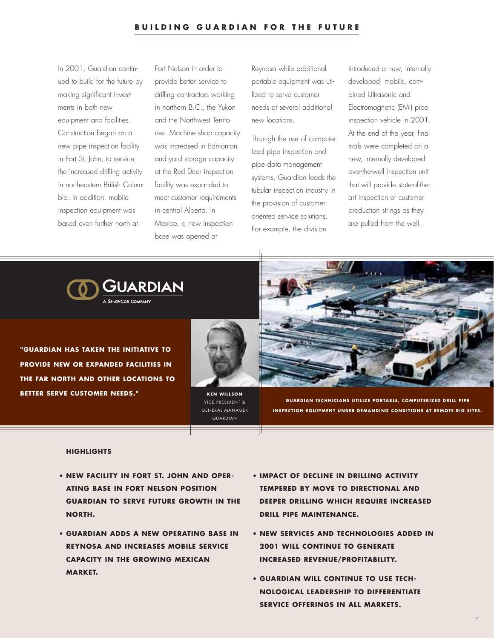In 2001, Guardian continued to build for the future by making significant investments in both new equipment and facilities. Construction began on a new pipe inspection facility in Fort St. John, to service the increased drilling activity in northeastern British Columbia. In addition, mobile inspection equipment was based even further north at

Fort Nelson in order to provide better service to drilling contractors working in northern B.C., the Yukon and the Northwest Territories. Machine shop capacity was increased in Edmonton and yard storage capacity at the Red Deer inspection facility was expanded to meet customer requirements in central Alberta. In Mexico, a new inspection base was opened at

Reynosa while additional portable equipment was utilized to serve customer needs at several additional new locations.

Through the use of computerized pipe inspection and pipe data management systems, Guardian leads the tubular inspection industry in the provision of customeroriented service solutions. For example, the division

introduced a new, internally developed, mobile, combined Ultrasonic and Electromagnetic (EMI) pipe inspection vehicle in 2001. At the end of the year, final trials were completed on a new, internally developed over-the-well inspection unit that will provide state-of-theart inspection of customer production strings as they are pulled from the well.



**"GUARDIAN HAS TAKEN THE INITIATIVE TO PROVIDE NEW OR EXPANDED FACILITIES IN THE FAR NORTH AND OTHER LOCATIONS TO BETTER SERVE CUSTOMER NEEDS."** KEN WILLSON



VICE PRESIDENT & GENERAL MANAGER GUARDIAN



**GUARDIAN TECHNICIANS UTILIZE PORTABLE, COMPUTERIZED DRILL PIPE INSPECTION EQUIPMENT UNDER DEMANDING CONDITIONS AT REMOTE RIG SITES.**

- **• NEW FACILITY IN FORT ST. JOHN AND OPER-ATING BASE IN FORT NELSON POSITION GUARDIAN TO SERVE FUTURE GROWTH IN THE NORTH.**
- **• GUARDIAN ADDS A NEW OPERATING BASE IN REYNOSA AND INCREASES MOBILE SERVICE CAPACITY IN THE GROWING MEXICAN MARKET.**
- **• IMPACT OF DECLINE IN DRILLING ACTIVITY TEMPERED BY MOVE TO DIRECTIONAL AND DEEPER DRILLING WHICH REQUIRE INCREASED DRILL PIPE MAINTENANCE.**
- **• NEW SERVICES AND TECHNOLOGIES ADDED IN 2001 WILL CONTINUE TO GENERATE INCREASED REVENUE/PROFITABILITY.**
- **• GUARDIAN WILL CONTINUE TO USE TECH-NOLOGICAL LEADERSHIP TO DIFFERENTIATE SERVICE OFFERINGS IN ALL MARKETS.**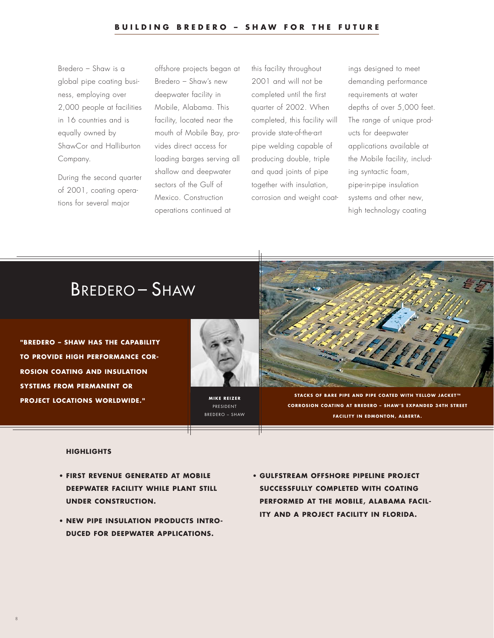Bredero – Shaw is a global pipe coating business, employing over 2,000 people at facilities in 16 countries and is equally owned by ShawCor and Halliburton Company.

During the second quarter of 2001, coating operations for several major

offshore projects began at Bredero – Shaw's new deepwater facility in Mobile, Alabama. This facility, located near the mouth of Mobile Bay, provides direct access for loading barges serving all shallow and deepwater sectors of the Gulf of Mexico. Construction operations continued at

this facility throughout 2001 and will not be completed until the first quarter of 2002. When completed, this facility will provide state-of-the-art pipe welding capable of producing double, triple and quad joints of pipe together with insulation, corrosion and weight coatings designed to meet demanding performance requirements at water depths of over 5,000 feet. The range of unique products for deepwater applications available at the Mobile facility, including syntactic foam, pipe-in-pipe insulation systems and other new, high technology coating

# BREDERO – SHAW

**"BREDERO – SHAW HAS THE CAPABILITY TO PROVIDE HIGH PERFORMANCE COR-ROSION COATING AND INSULATION SYSTEMS FROM PERMANENT OR PROJECT LOCATIONS WORLDWIDE."**



**MIKE REIZER** PRESIDENT BREDERO – SHAW



**STACKS OF BARE PIPE AND PIPE COATED WITH YELLOW JACKET™ CORROSION COATING AT BREDERO – SHAW'S EXPANDED 34TH STREET FACILITY IN EDMONTON, ALBERTA.**

## **HIGHLIGHTS**

8

- **• FIRST REVENUE GENERATED AT MOBILE DEEPWATER FACILITY WHILE PLANT STILL UNDER CONSTRUCTION.**
- **• NEW PIPE INSULATION PRODUCTS INTRO-DUCED FOR DEEPWATER APPLICATIONS.**
- **• GULFSTREAM OFFSHORE PIPELINE PROJECT SUCCESSFULLY COMPLETED WITH COATING PERFORMED AT THE MOBILE, ALABAMA FACIL-ITY AND A PROJECT FACILITY IN FLORIDA.**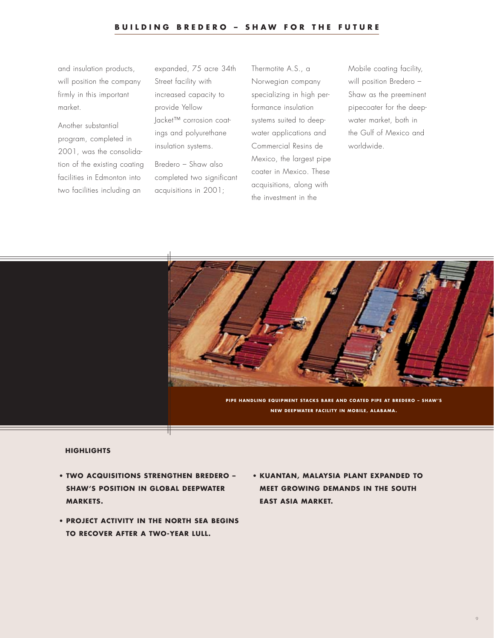and insulation products, will position the company firmly in this important market.

Another substantial program, completed in 2001, was the consolidation of the existing coating facilities in Edmonton into two facilities including an

expanded, 75 acre 34th Street facility with increased capacity to provide Yellow Jacket™ corrosion coatings and polyurethane insulation systems.

Bredero – Shaw also completed two significant acquisitions in 2001;

Thermotite A.S., a Norwegian company specializing in high performance insulation systems suited to deepwater applications and Commercial Resins de Mexico, the largest pipe coater in Mexico. These acquisitions, along with the investment in the

Mobile coating facility, will position Bredero – Shaw as the preeminent pipecoater for the deepwater market, both in the Gulf of Mexico and worldwide.



- **• TWO ACQUISITIONS STRENGTHEN BREDERO – SHAW'S POSITION IN GLOBAL DEEPWATER MARKETS.**
- **• PROJECT ACTIVITY IN THE NORTH SEA BEGINS TO RECOVER AFTER A TWO-YEAR LULL.**
- **• KUANTAN, MALAYSIA PLANT EXPANDED TO MEET GROWING DEMANDS IN THE SOUTH EAST ASIA MARKET.**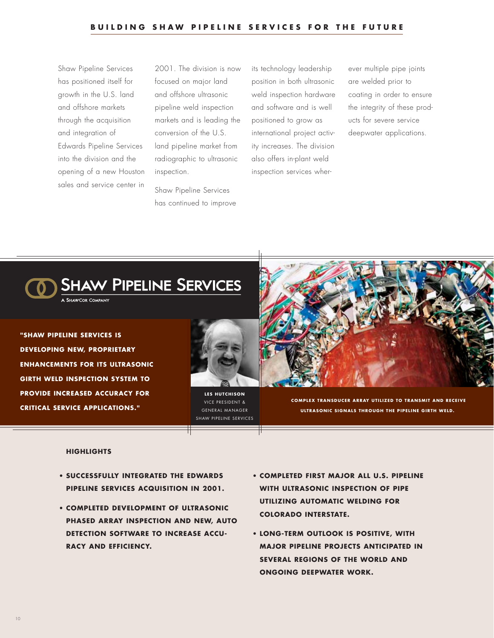Shaw Pipeline Services has positioned itself for growth in the U.S. land and offshore markets through the acquisition and integration of Edwards Pipeline Services into the division and the opening of a new Houston sales and service center in

2001. The division is now focused on major land and offshore ultrasonic pipeline weld inspection markets and is leading the conversion of the U.S. land pipeline market from radiographic to ultrasonic inspection.

Shaw Pipeline Services has continued to improve

its technology leadership position in both ultrasonic weld inspection hardware and software and is well positioned to grow as international project activity increases. The division also offers in-plant weld inspection services wherever multiple pipe joints are welded prior to coating in order to ensure the integrity of these products for severe service deepwater applications.



**"SHAW PIPELINE SERVICES IS DEVELOPING NEW, PROPRIETARY ENHANCEMENTS FOR ITS ULTRASONIC GIRTH WELD INSPECTION SYSTEM TO PROVIDE INCREASED ACCURACY FOR CRITICAL SERVICE APPLICATIONS."**



**LES HUTCHISON** VICE PRESIDENT & GENERAL MANAGER SHAW PIPELINE SERVICES



**COMPLEX TRANSDUCER ARRAY UTILIZED TO TRANSMIT AND RECEIVE ULTRASONIC SIGNALS THROUGH THE PIPELINE GIRTH WELD.**

- **• SUCCESSFULLY INTEGRATED THE EDWARDS PIPELINE SERVICES ACQUISITION IN 2001.**
- **COMPLETED DEVELOPMENT OF ULTRASONIC PHASED ARRAY INSPECTION AND NEW, AUTO DETECTION SOFTWARE TO INCREASE ACCU-RACY AND EFFICIENCY.**
- **• COMPLETED FIRST MAJOR ALL U.S. PIPELINE WITH ULTRASONIC INSPECTION OF PIPE UTILIZING AUTOMATIC WELDING FOR COLORADO INTERSTATE.**
- **• LONG-TERM OUTLOOK IS POSITIVE, WITH MAJOR PIPELINE PROJECTS ANTICIPATED IN SEVERAL REGIONS OF THE WORLD AND ONGOING DEEPWATER WORK.**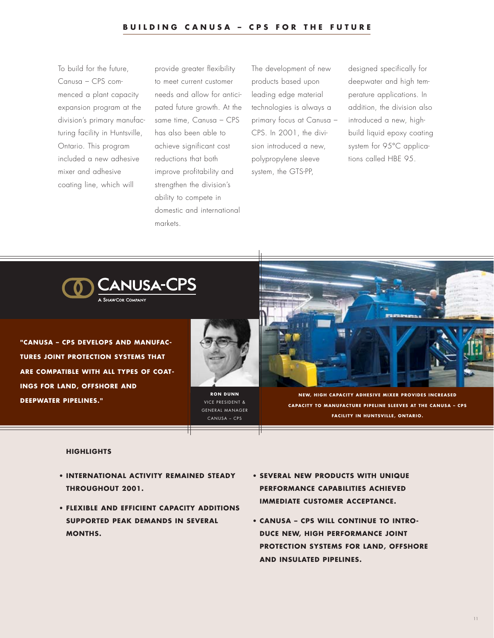To build for the future, Canusa – CPS commenced a plant capacity expansion program at the division's primary manufacturing facility in Huntsville, Ontario. This program included a new adhesive mixer and adhesive coating line, which will

provide greater flexibility to meet current customer needs and allow for anticipated future growth. At the same time, Canusa – CPS has also been able to achieve significant cost reductions that both improve profitability and strengthen the division's ability to compete in domestic and international markets.

The development of new products based upon leading edge material technologies is always a primary focus at Canusa – CPS. In 2001, the division introduced a new, polypropylene sleeve system, the GTS-PP,

designed specifically for deepwater and high temperature applications. In addition, the division also introduced a new, highbuild liquid epoxy coating system for 95°C applications called HBE 95.



**"CANUSA – CPS DEVELOPS AND MANUFAC-TURES JOINT PROTECTION SYSTEMS THAT ARE COMPATIBLE WITH ALL TYPES OF COAT-INGS FOR LAND, OFFSHORE AND DEEPWATER PIPELINES."**



**RON DUNN** VICE PRESIDENT & GENERAL MANAGER CANUSA – CPS



**NEW, HIGH CAPACITY ADHESIVE MIXER PROVIDES INCREASED CAPACITY TO MANUFACTURE PIPELINE SLEEVES AT THE CANUSA – CPS FACILITY IN HUNTSVILLE, ONTARIO.**

- **• INTERNATIONAL ACTIVITY REMAINED STEADY THROUGHOUT 2001.**
- **• FLEXIBLE AND EFFICIENT CAPACITY ADDITIONS SUPPORTED PEAK DEMANDS IN SEVERAL MONTHS.**
- **• SEVERAL NEW PRODUCTS WITH UNIQUE PERFORMANCE CAPABILITIES ACHIEVED IMMEDIATE CUSTOMER ACCEPTANCE.**
- **• CANUSA CPS WILL CONTINUE TO INTRO-DUCE NEW, HIGH PERFORMANCE JOINT PROTECTION SYSTEMS FOR LAND, OFFSHORE AND INSULATED PIPELINES.**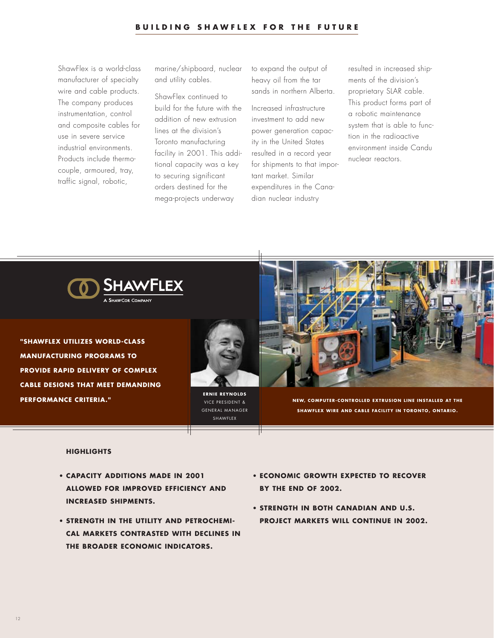ShawFlex is a world-class manufacturer of specialty wire and cable products. The company produces instrumentation, control and composite cables for use in severe service industrial environments. Products include thermocouple, armoured, tray, traffic signal, robotic,

marine/shipboard, nuclear and utility cables.

ShawFlex continued to build for the future with the addition of new extrusion lines at the division's Toronto manufacturing facility in 2001. This additional capacity was a key to securing significant orders destined for the mega-projects underway

to expand the output of heavy oil from the tar sands in northern Alberta.

Increased infrastructure investment to add new power generation capacity in the United States resulted in a record year for shipments to that important market. Similar expenditures in the Canadian nuclear industry

resulted in increased shipments of the division's proprietary SLAR cable. This product forms part of a robotic maintenance system that is able to function in the radioactive environment inside Candu nuclear reactors.



**"SHAWFLEX UTILIZES WORLD-CLASS MANUFACTURING PROGRAMS TO PROVIDE RAPID DELIVERY OF COMPLEX CABLE DESIGNS THAT MEET DEMANDING PERFORMANCE CRITERIA."**



**ERNIE REYNOLDS** VICE PRESIDENT & GENERAL MANAGER SHAWFLEX



**NEW, COMPUTER-CONTROLLED EXTRUSION LINE INSTALLED AT THE SHAWFLEX WIRE AND CABLE FACILITY IN TORONTO, ONTARIO.**

- **• CAPACITY ADDITIONS MADE IN 2001 ALLOWED FOR IMPROVED EFFICIENCY AND INCREASED SHIPMENTS.**
- **• STRENGTH IN THE UTILITY AND PETROCHEMI-CAL MARKETS CONTRASTED WITH DECLINES IN THE BROADER ECONOMIC INDICATORS.**
- **• ECONOMIC GROWTH EXPECTED TO RECOVER BY THE END OF 2002.**
- **• STRENGTH IN BOTH CANADIAN AND U.S. PROJECT MARKETS WILL CONTINUE IN 2002.**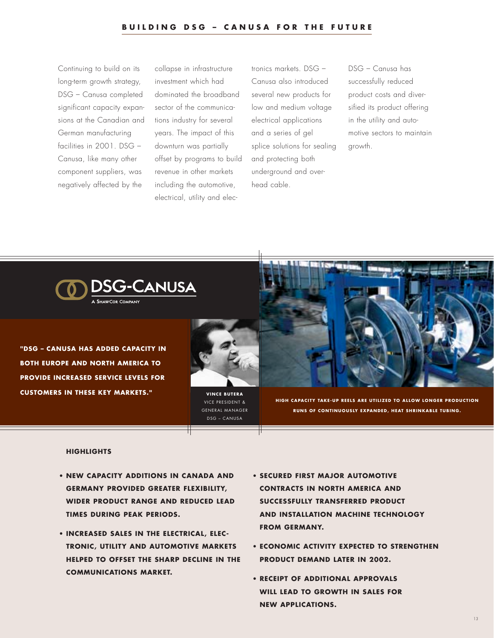Continuing to build on its long-term growth strategy, DSG – Canusa completed significant capacity expansions at the Canadian and German manufacturing facilities in 2001. DSG – Canusa, like many other component suppliers, was negatively affected by the

collapse in infrastructure investment which had dominated the broadband sector of the communications industry for several years. The impact of this downturn was partially offset by programs to build revenue in other markets including the automotive, electrical, utility and elec-

tronics markets. DSG – Canusa also introduced several new products for low and medium voltage electrical applications and a series of gel splice solutions for sealing and protecting both underground and overhead cable.

DSG – Canusa has successfully reduced product costs and diversified its product offering in the utility and automotive sectors to maintain growth.



**"DSG – CANUSA HAS ADDED CAPACITY IN BOTH EUROPE AND NORTH AMERICA TO PROVIDE INCREASED SERVICE LEVELS FOR CUSTOMERS IN THESE KEY MARKETS."**



VICE PRESIDENT & GENERAL MANAGER DSG – CANUSA



**HIGH CAPACITY TAKE-UP REELS ARE UTILIZED TO ALLOW LONGER PRODUCTION RUNS OF CONTINUOUSLY EXPANDED, HEAT SHRINKABLE TUBING.** 

- **• NEW CAPACITY ADDITIONS IN CANADA AND GERMANY PROVIDED GREATER FLEXIBILITY, WIDER PRODUCT RANGE AND REDUCED LEAD TIMES DURING PEAK PERIODS.**
- **• INCREASED SALES IN THE ELECTRICAL, ELEC-TRONIC, UTILITY AND AUTOMOTIVE MARKETS HELPED TO OFFSET THE SHARP DECLINE IN THE COMMUNICATIONS MARKET.**
- **• SECURED FIRST MAJOR AUTOMOTIVE CONTRACTS IN NORTH AMERICA AND SUCCESSFULLY TRANSFERRED PRODUCT AND INSTALLATION MACHINE TECHNOLOGY FROM GERMANY.**
- **• ECONOMIC ACTIVITY EXPECTED TO STRENGTHEN PRODUCT DEMAND LATER IN 2002.**
- **• RECEIPT OF ADDITIONAL APPROVALS WILL LEAD TO GROWTH IN SALES FOR NEW APPLICATIONS.**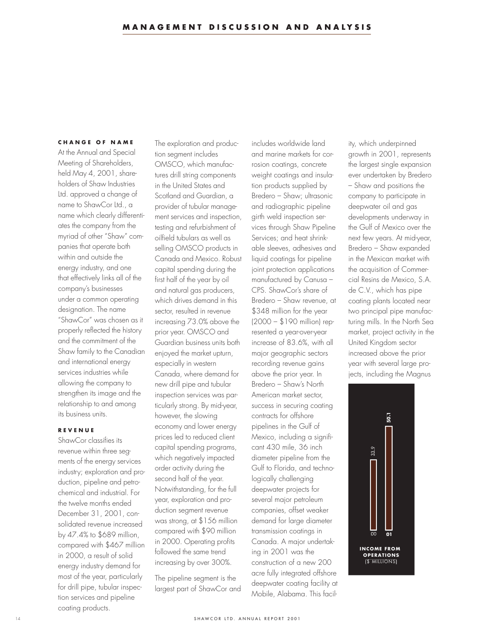#### **CHANGE OF NAME**

At the Annual and Special Meeting of Shareholders, held May 4, 2001, shareholders of Shaw Industries Ltd. approved a change of name to ShawCor Ltd., a name which clearly differentiates the company from the myriad of other "Shaw" companies that operate both within and outside the energy industry, and one that effectively links all of the company's businesses under a common operating designation. The name "ShawCor" was chosen as it properly reflected the history and the commitment of the Shaw family to the Canadian and international energy services industries while allowing the company to strengthen its image and the relationship to and among its business units.

## **REVENUE**

ShawCor classifies its revenue within three segments of the energy services industry; exploration and production, pipeline and petrochemical and industrial. For the twelve months ended December 31, 2001, consolidated revenue increased by 47.4% to \$689 million, compared with \$467 million in 2000, a result of solid energy industry demand for most of the year, particularly for drill pipe, tubular inspection services and pipeline coating products.

The exploration and production segment includes OMSCO, which manufactures drill string components in the United States and Scotland and Guardian, a provider of tubular management services and inspection, testing and refurbishment of oilfield tubulars as well as selling OMSCO products in Canada and Mexico. Robust capital spending during the first half of the year by oil and natural gas producers, which drives demand in this sector, resulted in revenue increasing 73.0% above the prior year. OMSCO and Guardian business units both enjoyed the market upturn, especially in western Canada, where demand for new drill pipe and tubular inspection services was particularly strong. By mid-year, however, the slowing economy and lower energy prices led to reduced client capital spending programs, which negatively impacted order activity during the second half of the year. Notwithstanding, for the full year, exploration and production segment revenue was strong, at \$156 million compared with \$90 million in 2000. Operating profits followed the same trend increasing by over 300%.

The pipeline segment is the largest part of ShawCor and

includes worldwide land and marine markets for corrosion coatings, concrete weight coatings and insulation products supplied by Bredero – Shaw; ultrasonic and radiographic pipeline girth weld inspection services through Shaw Pipeline Services; and heat shrinkable sleeves, adhesives and liquid coatings for pipeline joint protection applications manufactured by Canusa – CPS. ShawCor's share of Bredero – Shaw revenue, at \$348 million for the year (2000 – \$190 million) represented a year-over-year increase of 83.6%, with all major geographic sectors recording revenue gains above the prior year. In Bredero – Shaw's North American market sector, success in securing coating contracts for offshore pipelines in the Gulf of Mexico, including a significant 430 mile, 36 inch diameter pipeline from the Gulf to Florida, and technologically challenging deepwater projects for several major petroleum companies, offset weaker demand for large diameter transmission coatings in Canada. A major undertaking in 2001 was the construction of a new 200 acre fully integrated offshore deepwater coating facility at Mobile, Alabama. This facility, which underpinned growth in 2001, represents the largest single expansion ever undertaken by Bredero – Shaw and positions the company to participate in deepwater oil and gas developments underway in the Gulf of Mexico over the next few years. At mid-year, Bredero – Shaw expanded in the Mexican market with the acquisition of Commercial Resins de Mexico, S.A. de C.V., which has pipe coating plants located near two principal pipe manufacturing mills. In the North Sea market, project activity in the United Kingdom sector increased above the prior year with several large projects, including the Magnus

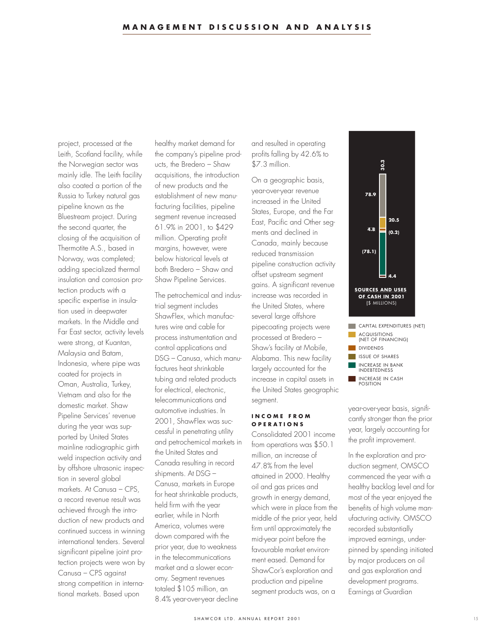project, processed at the Leith, Scotland facility, while the Norwegian sector was mainly idle. The Leith facility also coated a portion of the Russia to Turkey natural gas pipeline known as the Bluestream project. During the second quarter, the closing of the acquisition of Thermotite A.S., based in Norway, was completed; adding specialized thermal insulation and corrosion protection products with a specific expertise in insulation used in deepwater markets. In the Middle and Far East sector, activity levels were strong, at Kuantan, Malaysia and Batam, Indonesia, where pipe was coated for projects in Oman, Australia, Turkey, Vietnam and also for the domestic market. Shaw Pipeline Services' revenue during the year was supported by United States mainline radiographic girth weld inspection activity and by offshore ultrasonic inspection in several global markets. At Canusa – CPS, a record revenue result was achieved through the introduction of new products and continued success in winning international tenders. Several significant pipeline joint protection projects were won by Canusa – CPS against strong competition in international markets. Based upon

healthy market demand for the company's pipeline products, the Bredero – Shaw acquisitions, the introduction of new products and the establishment of new manufacturing facilities, pipeline segment revenue increased 61.9% in 2001, to \$429 million. Operating profit margins, however, were below historical levels at both Bredero – Shaw and Shaw Pipeline Services.

The petrochemical and industrial segment includes ShawFlex, which manufactures wire and cable for process instrumentation and control applications and DSG – Canusa, which manufactures heat shrinkable tubing and related products for electrical, electronic, telecommunications and automotive industries. In 2001, ShawFlex was successful in penetrating utility and petrochemical markets in the United States and Canada resulting in record shipments. At DSG – Canusa, markets in Europe for heat shrinkable products, held firm with the year earlier, while in North America, volumes were down compared with the prior year, due to weakness in the telecommunications market and a slower economy. Segment revenues totaled \$105 million, an 8.4% year-over-year decline

and resulted in operating profits falling by 42.6% to \$7.3 million.

On a geographic basis, year-over-year revenue increased in the United States, Europe, and the Far East, Pacific and Other segments and declined in Canada, mainly because reduced transmission pipeline construction activity offset upstream segment gains. A significant revenue increase was recorded in the United States, where several large offshore pipecoating projects were processed at Bredero – Shaw's facility at Mobile, Alabama. This new facility largely accounted for the increase in capital assets in the United States geographic segment.

## **INCOME FROM OPERATIONS**

Consolidated 2001 income from operations was \$50.1 million, an increase of 47.8% from the level attained in 2000. Healthy oil and gas prices and growth in energy demand, which were in place from the middle of the prior year, held firm until approximately the mid-year point before the favourable market environment eased. Demand for ShawCor's exploration and production and pipeline segment products was, on a



year-over-year basis, significantly stronger than the prior year, largely accounting for the profit improvement.

In the exploration and production segment, OMSCO commenced the year with a healthy backlog level and for most of the year enjoyed the benefits of high volume manufacturing activity. OMSCO recorded substantially improved earnings, underpinned by spending initiated by major producers on oil and gas exploration and development programs. Earnings at Guardian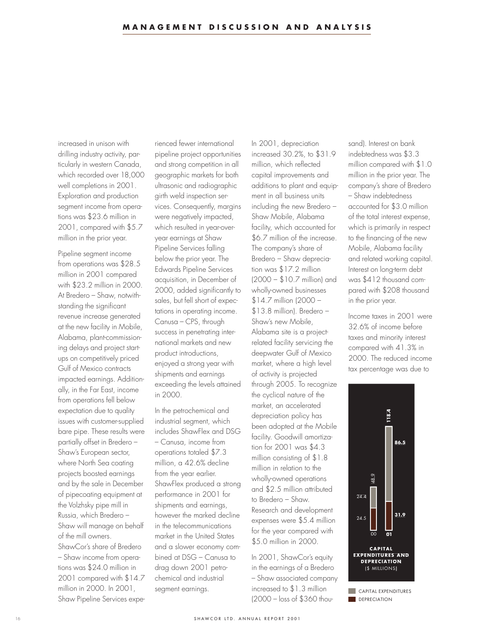increased in unison with drilling industry activity, particularly in western Canada, which recorded over 18,000 well completions in 2001. Exploration and production segment income from operations was \$23.6 million in 2001, compared with \$5.7 million in the prior year.

Pipeline segment income from operations was \$28.5 million in 2001 compared with \$23.2 million in 2000. At Bredero – Shaw, notwithstanding the significant revenue increase generated at the new facility in Mobile, Alabama, plant-commissioning delays and project startups on competitively priced Gulf of Mexico contracts impacted earnings. Additionally, in the Far East, income from operations fell below expectation due to quality issues with customer-supplied bare pipe. These results were partially offset in Bredero – Shaw's European sector, where North Sea coating projects boosted earnings and by the sale in December of pipecoating equipment at the Volzhsky pipe mill in Russia, which Bredero – Shaw will manage on behalf of the mill owners. ShawCor's share of Bredero – Shaw income from operations was \$24.0 million in 2001 compared with \$14.7 million in 2000. In 2001, Shaw Pipeline Services expe-

rienced fewer international pipeline project opportunities and strong competition in all geographic markets for both ultrasonic and radiographic girth weld inspection services. Consequently, margins were negatively impacted, which resulted in year-overyear earnings at Shaw Pipeline Services falling below the prior year. The Edwards Pipeline Services acquisition, in December of 2000, added significantly to sales, but fell short of expectations in operating income. Canusa – CPS, through success in penetrating international markets and new product introductions, enjoyed a strong year with shipments and earnings exceeding the levels attained in 2000.

In the petrochemical and industrial segment, which includes ShawFlex and DSG – Canusa, income from operations totaled \$7.3 million, a 42.6% decline from the year earlier. ShawFlex produced a strong performance in 2001 for shipments and earnings, however the marked decline in the telecommunications market in the United States and a slower economy combined at DSG – Canusa to drag down 2001 petrochemical and industrial segment earnings.

In 2001, depreciation increased 30.2%, to \$31.9 million, which reflected capital improvements and additions to plant and equipment in all business units including the new Bredero – Shaw Mobile, Alabama facility, which accounted for \$6.7 million of the increase. The company's share of Bredero – Shaw depreciation was \$17.2 million (2000 – \$10.7 million) and wholly-owned businesses \$14.7 million (2000 – \$13.8 million). Bredero – Shaw's new Mobile, Alabama site is a projectrelated facility servicing the deepwater Gulf of Mexico market, where a high level of activity is projected through 2005. To recognize the cyclical nature of the market, an accelerated depreciation policy has been adopted at the Mobile facility. Goodwill amortization for 2001 was \$4.3 million consisting of \$1.8 million in relation to the wholly-owned operations and \$2.5 million attributed to Bredero – Shaw. Research and development expenses were \$5.4 million for the year compared with \$5.0 million in 2000.

In 2001, ShawCor's equity in the earnings of a Bredero – Shaw associated company increased to \$1.3 million (2000 – loss of \$360 thou-

sand). Interest on bank indebtedness was \$3.3 million compared with \$1.0 million in the prior year. The company's share of Bredero – Shaw indebtedness accounted for \$3.0 million of the total interest expense, which is primarily in respect to the financing of the new Mobile, Alabama facility and related working capital. Interest on long-term debt was \$412 thousand compared with \$208 thousand in the prior year.

Income taxes in 2001 were 32.6% of income before taxes and minority interest compared with 41.3% in 2000. The reduced income tax percentage was due to

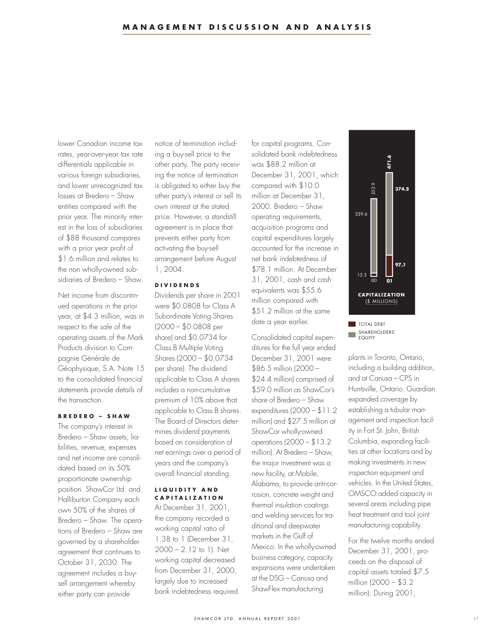lower Canadian income tax rates, year-over-year tax rate differentials applicable in various foreign subsidiaries, and lower unrecognized tax losses at Bredero – Shaw entities compared with the prior year. The minority interest in the loss of subsidiaries of \$88 thousand compares with a prior year profit of \$1.6 million and relates to the non wholly-owned subsidiaries of Bredero – Shaw.

Net income from discontinued operations in the prior year, at \$4.3 million, was in respect to the sale of the operating assets of the Mark Products division to Compagnie Générale de Géophysique, S.A. Note 15 to the consolidated financial statements provide details of the transaction.

## **BREDERO – SHAW**

The company's interest in Bredero – Shaw assets, liabilities, revenue, expenses and net income are consolidated based on its 50% proportionate ownership position. ShawCor Ltd. and Halliburton Company each own 50% of the shares of Bredero – Shaw. The operations of Bredero – Shaw are governed by a shareholder agreement that continues to October 31, 2030. The agreement includes a buysell arrangement whereby either party can provide

notice of termination including a buy-sell price to the other party. The party receiving the notice of termination is obligated to either buy the other party's interest or sell its own interest at the stated price. However, a standstill agreement is in place that prevents either party from activating the buy-sell arrangement before August 1, 2004.

## **DIVIDENDS**

Dividends per share in 2001 were \$0.0808 for Class A Subordinate Voting Shares (2000 – \$0.0808 per share) and \$0.0734 for Class B Multiple Voting Shares (2000 – \$0.0734 per share). The dividend applicable to Class A shares includes a non-cumulative premium of 10% above that applicable to Class B shares. The Board of Directors determines dividend payments based on consideration of net earnings over a period of years and the company's overall financial standing.

## **LIQUIDITY AND CAPITALIZATION**

At December 31, 2001, the company recorded a working capital ratio of 1.38 to 1 (December 31, 2000 – 2.12 to 1). Net working capital decreased from December 31, 2000, largely due to increased bank indebtedness required for capital programs. Consolidated bank indebtedness was \$88.2 million at December 31, 2001, which compared with \$10.0 million at December 31, 2000. Bredero – Shaw operating requirements, acquisition programs and capital expenditures largely accounted for the increase in net bank indebtedness of \$78.1 million. At December 31, 2001, cash and cash equivalents was \$55.6 million compared with \$51.2 million at the same date a year earlier.

Consolidated capital expenditures for the full year ended December 31, 2001 were \$86.5 million (2000 – \$24.4 million) comprised of \$59.0 million as ShawCor's share of Bredero – Shaw expenditures (2000 – \$11.2 million) and \$27.5 million at ShawCor wholly-owned operations (2000 – \$13.2 million). At Bredero – Shaw, the major investment was a new facility, at Mobile, Alabama, to provide anti-corrosion, concrete weight and thermal insulation coatings and welding services for traditional and deepwater markets in the Gulf of Mexico. In the wholly-owned business category, capacity expansions were undertaken at the DSG – Canusa and ShawFlex manufacturing



SHAREHOLDERS' EQUITY

plants in Toronto, Ontario, including a building addition, and at Canusa – CPS in Huntsville, Ontario. Guardian expanded coverage by establishing a tubular management and inspection facility in Fort St. John, British Columbia, expanding facilities at other locations and by making investments in new inspection equipment and vehicles. In the United States, OMSCO added capacity in several areas including pipe heat treatment and tool joint manufacturing capability.

For the twelve months ended December 31, 2001, proceeds on the disposal of capital assets totaled \$7.5 million (2000 – \$3.2 million). During 2001,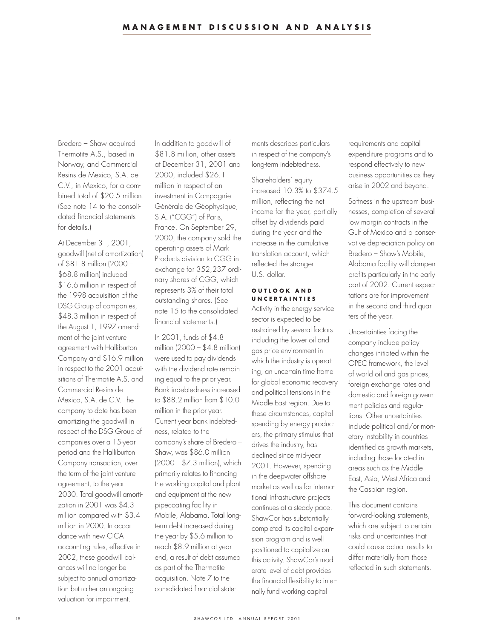Bredero – Shaw acquired Thermotite A.S., based in Norway, and Commercial Resins de Mexico, S.A. de C.V., in Mexico, for a combined total of \$20.5 million. (See note 14 to the consolidated financial statements for details.)

At December 31, 2001, goodwill (net of amortization) of \$81.8 million (2000 – \$68.8 million) included \$16.6 million in respect of the 1998 acquisition of the DSG Group of companies, \$48.3 million in respect of the August 1, 1997 amendment of the joint venture agreement with Halliburton Company and \$16.9 million in respect to the 2001 acquisitions of Thermotite A.S. and Commercial Resins de Mexico, S.A. de C.V. The company to date has been amortizing the goodwill in respect of the DSG Group of companies over a 15-year period and the Halliburton Company transaction, over the term of the joint venture agreement, to the year 2030. Total goodwill amortization in 2001 was \$4.3 million compared with \$3.4 million in 2000. In accordance with new CICA accounting rules, effective in 2002, these goodwill balances will no longer be subject to annual amortization but rather an ongoing valuation for impairment.

In addition to goodwill of \$81.8 million, other assets at December 31, 2001 and 2000, included \$26.1 million in respect of an investment in Compagnie Générale de Géophysique, S.A. ("CGG") of Paris, France. On September 29, 2000, the company sold the operating assets of Mark Products division to CGG in exchange for 352,237 ordinary shares of CGG, which represents 3% of their total outstanding shares. (See note 15 to the consolidated financial statements.)

In 2001, funds of \$4.8 million (2000 – \$4.8 million) were used to pay dividends with the dividend rate remaining equal to the prior year. Bank indebtedness increased to \$88.2 million from \$10.0 million in the prior year. Current year bank indebtedness, related to the company's share of Bredero – Shaw, was \$86.0 million (2000 – \$7.3 million), which primarily relates to financing the working capital and plant and equipment at the new pipecoating facility in Mobile, Alabama. Total longterm debt increased during the year by \$5.6 million to reach \$8.9 million at year end, a result of debt assumed as part of the Thermotite acquisition. Note 7 to the consolidated financial statements describes particulars in respect of the company's long-term indebtedness.

Shareholders' equity increased 10.3% to \$374.5 million, reflecting the net income for the year, partially offset by dividends paid during the year and the increase in the cumulative translation account, which reflected the stronger U.S. dollar.

## **OUTLOOK AND UNCERTAINTIES**

Activity in the energy service sector is expected to be restrained by several factors including the lower oil and gas price environment in which the industry is operating, an uncertain time frame for global economic recovery and political tensions in the Middle East region. Due to these circumstances, capital spending by energy producers, the primary stimulus that drives the industry, has declined since mid-year 2001. However, spending in the deepwater offshore market as well as for international infrastructure projects continues at a steady pace. ShawCor has substantially completed its capital expansion program and is well positioned to capitalize on this activity. ShawCor's moderate level of debt provides the financial flexibility to internally fund working capital

requirements and capital expenditure programs and to respond effectively to new business opportunities as they arise in 2002 and beyond.

Softness in the upstream businesses, completion of several low margin contracts in the Gulf of Mexico and a conservative depreciation policy on Bredero – Shaw's Mobile, Alabama facility will dampen profits particularly in the early part of 2002. Current expectations are for improvement in the second and third quarters of the year.

Uncertainties facing the company include policy changes initiated within the OPEC framework, the level of world oil and gas prices, foreign exchange rates and domestic and foreign government policies and regulations. Other uncertainties include political and/or monetary instability in countries identified as growth markets, including those located in areas such as the Middle East, Asia, West Africa and the Caspian region.

This document contains forward-looking statements, which are subject to certain risks and uncertainties that could cause actual results to differ materially from those reflected in such statements.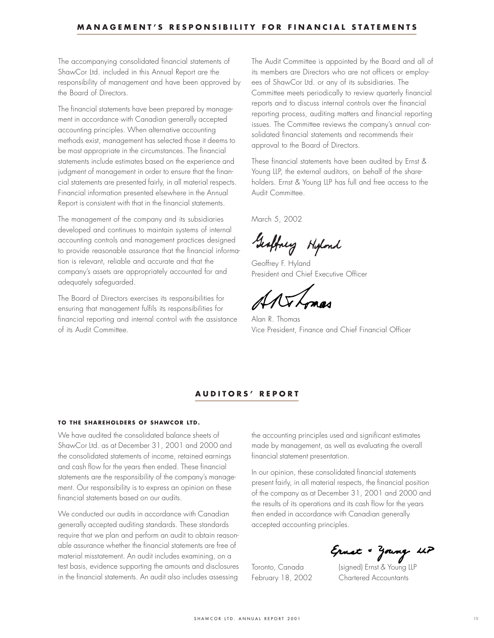The accompanying consolidated financial statements of ShawCor Ltd. included in this Annual Report are the responsibility of management and have been approved by the Board of Directors.

The financial statements have been prepared by management in accordance with Canadian generally accepted accounting principles. When alternative accounting methods exist, management has selected those it deems to be most appropriate in the circumstances. The financial statements include estimates based on the experience and judgment of management in order to ensure that the financial statements are presented fairly, in all material respects. Financial information presented elsewhere in the Annual Report is consistent with that in the financial statements.

The management of the company and its subsidiaries developed and continues to maintain systems of internal accounting controls and management practices designed to provide reasonable assurance that the financial information is relevant, reliable and accurate and that the company's assets are appropriately accounted for and adequately safeguarded.

The Board of Directors exercises its responsibilities for ensuring that management fulfils its responsibilities for financial reporting and internal control with the assistance of its Audit Committee.

The Audit Committee is appointed by the Board and all of its members are Directors who are not officers or employees of ShawCor Ltd. or any of its subsidiaries. The Committee meets periodically to review quarterly financial reports and to discuss internal controls over the financial reporting process, auditing matters and financial reporting issues. The Committee reviews the company's annual consolidated financial statements and recommends their approval to the Board of Directors.

These financial statements have been audited by Ernst & Young LLP, the external auditors, on behalf of the shareholders. Ernst & Young LLP has full and free access to the Audit Committee.

March 5, 2002

Geoffney Hipland

Geoffrey F. Hyland President and Chief Executive Officer

Alan R. Thomas Vice President, Finance and Chief Financial Officer

## **AUDITORS' REPORT**

## **TO THE SHAREHOLDERS OF SHAWCOR LTD.**

We have audited the consolidated balance sheets of ShawCor Ltd. as at December 31, 2001 and 2000 and the consolidated statements of income, retained earnings and cash flow for the years then ended. These financial statements are the responsibility of the company's management. Our responsibility is to express an opinion on these financial statements based on our audits.

We conducted our audits in accordance with Canadian generally accepted auditing standards. These standards require that we plan and perform an audit to obtain reasonable assurance whether the financial statements are free of material misstatement. An audit includes examining, on a test basis, evidence supporting the amounts and disclosures in the financial statements. An audit also includes assessing

the accounting principles used and significant estimates made by management, as well as evaluating the overall financial statement presentation.

In our opinion, these consolidated financial statements present fairly, in all material respects, the financial position of the company as at December 31, 2001 and 2000 and the results of its operations and its cash flow for the years then ended in accordance with Canadian generally accepted accounting principles.

Ernet & Young UP<br>Toronto, Canada (signed) Ernst & Young LLP

February 18, 2002 Chartered Accountants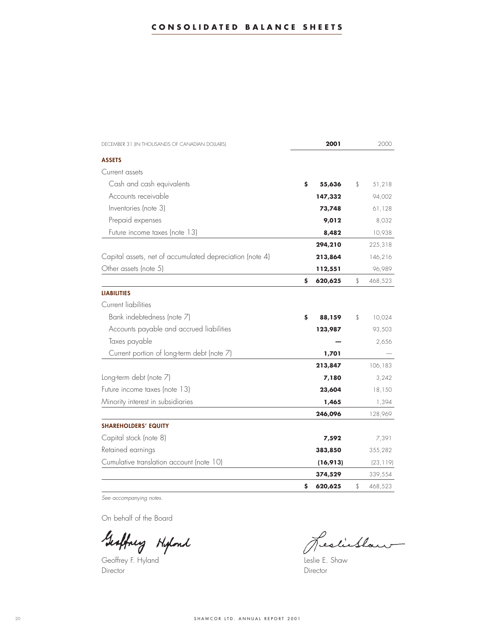| DECEMBER 31 (IN THOUSANDS OF CANADIAN DOLLARS)           | 2001          | 2000          |
|----------------------------------------------------------|---------------|---------------|
| <b>ASSETS</b>                                            |               |               |
| Current assets                                           |               |               |
| Cash and cash equivalents                                | \$<br>55,636  | \$<br>51,218  |
| Accounts receivable                                      | 147,332       | 94,002        |
| Inventories (note 3)                                     | 73,748        | 61,128        |
| Prepaid expenses                                         | 9,012         | 8,032         |
| Future income taxes (note 13)                            | 8,482         | 10,938        |
|                                                          | 294,210       | 225,318       |
| Capital assets, net of accumulated depreciation (note 4) | 213,864       | 146,216       |
| Other assets (note 5)                                    | 112,551       | 96,989        |
|                                                          | \$<br>620,625 | \$<br>468,523 |
| <b>LIABILITIES</b>                                       |               |               |
| Current liabilities                                      |               |               |
| Bank indebtedness (note 7)                               | \$<br>88,159  | \$<br>10,024  |
| Accounts payable and accrued liabilities                 | 123,987       | 93,503        |
| Taxes payable                                            |               | 2,656         |
| Current portion of long-term debt (note 7)               | 1,701         |               |
|                                                          | 213,847       | 106,183       |
| Long-term debt (note 7)                                  | 7,180         | 3,242         |
| Future income taxes (note 13)                            | 23,604        | 18,150        |
| Minority interest in subsidiaries                        | 1,465         | 1,394         |
|                                                          | 246,096       | 128,969       |
| <b>SHAREHOLDERS' EQUITY</b>                              |               |               |
| Capital stock (note 8)                                   | 7,592         | 7,391         |
| Retained earnings                                        | 383,850       | 355,282       |
| Cumulative translation account (note 10)                 | (16, 913)     | (23, 119)     |
|                                                          | 374,529       | 339,554       |
|                                                          | \$<br>620,625 | \$<br>468,523 |

*See accompanying notes.*

On behalf of the Board

Geoffney Hipland

Geoffrey F. Hyland **Leslie E. Shaw** Director **Director** Director

Leslieblan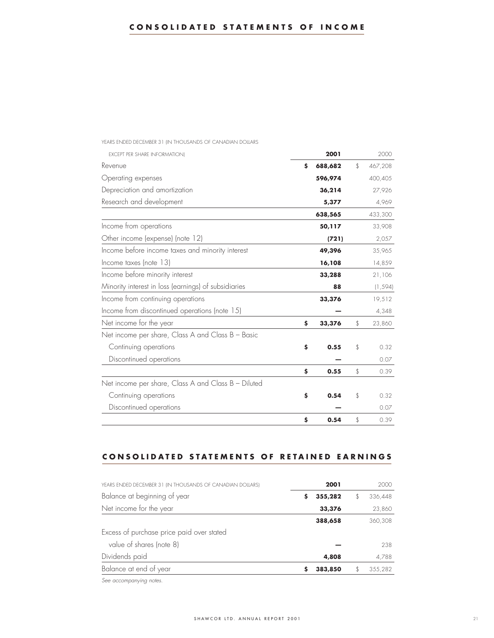| <b>EXCEPT PER SHARE INFORMATION)</b>                 | 2001          | 2000          |
|------------------------------------------------------|---------------|---------------|
| Revenue                                              | \$<br>688,682 | \$<br>467,208 |
| Operating expenses                                   | 596,974       | 400,405       |
| Depreciation and amortization                        | 36,214        | 27,926        |
| Research and development                             | 5,377         | 4,969         |
|                                                      | 638,565       | 433,300       |
| Income from operations                               | 50,117        | 33,908        |
| Other income (expense) (note 12)                     | (721)         | 2,057         |
| Income before income taxes and minority interest     | 49,396        | 35,965        |
| Income taxes (note 13)                               | 16,108        | 14,859        |
| Income before minority interest                      | 33,288        | 21,106        |
| Minority interest in loss (earnings) of subsidiaries | 88            | (1, 594)      |
| Income from continuing operations                    | 33,376        | 19,512        |
| Income from discontinued operations (note 15)        |               | 4,348         |
| Net income for the year                              | \$<br>33,376  | \$<br>23,860  |
| Net income per share, Class A and Class B - Basic    |               |               |
| Continuing operations                                | \$<br>0.55    | \$<br>0.32    |
| Discontinued operations                              |               | 0.07          |
|                                                      | \$<br>0.55    | \$<br>0.39    |
| Net income per share, Class A and Class B - Diluted  |               |               |
| Continuing operations                                | \$<br>0.54    | \$<br>0.32    |
| Discontinued operations                              |               | 0.07          |
|                                                      | \$<br>0.54    | \$<br>0.39    |

YEARS ENDED DECEMBER 31 (IN THOUSANDS OF CANADIAN DOLLARS

# **CONSOLIDATED STATEMENTS OF RETAINED EARNINGS**

| YEARS ENDED DECEMBER 31 (IN THOUSANDS OF CANADIAN DOLLARS) |   | 2001    | 2000    |
|------------------------------------------------------------|---|---------|---------|
| Balance at beginning of year                               | s | 355,282 | 336,448 |
| Net income for the year                                    |   | 33,376  | 23,860  |
|                                                            |   | 388,658 | 360,308 |
| Excess of purchase price paid over stated                  |   |         |         |
| value of shares (note 8)                                   |   |         | 238     |
| Dividends paid                                             |   | 4,808   | 4,788   |
| Balance at end of year                                     |   | 383,850 | 355,282 |
|                                                            |   |         |         |

*See accompanying notes.*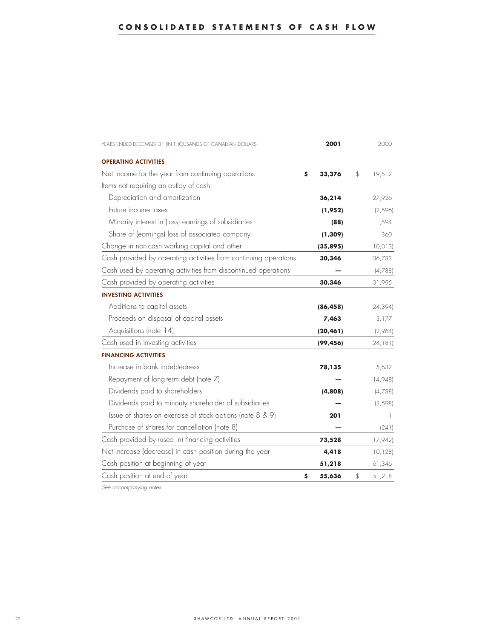| YEARS ENDED DECEMBER 31 (IN THOUSANDS OF CANADIAN DOLLARS)       | 2001 |           | 2000         |  |
|------------------------------------------------------------------|------|-----------|--------------|--|
| <b>OPERATING ACTIVITIES</b>                                      |      |           |              |  |
| Net income for the year from continuing operations               | \$   | 33,376    | \$<br>19,512 |  |
| Items not requiring an outlay of cash:                           |      |           |              |  |
| Depreciation and amortization                                    |      | 36,214    | 27,926       |  |
| Future income taxes                                              |      | (1,952)   | (2, 596)     |  |
| Minority interest in (loss) earnings of subsidiaries             |      | (88)      | 1,594        |  |
| Share of (earnings) loss of associated company                   |      | (1, 309)  | 360          |  |
| Change in non-cash working capital and other                     |      | (35, 895) | (10, 013)    |  |
| Cash provided by operating activities from continuing operations |      | 30,346    | 36,783       |  |
| Cash used by operating activities from discontinued operations   |      |           | (4,788)      |  |
| Cash provided by operating activities                            |      | 30,346    | 31,995       |  |
| <b>INVESTING ACTIVITIES</b>                                      |      |           |              |  |
| Additions to capital assets                                      |      | (86, 458) | (24, 394)    |  |
| Proceeds on disposal of capital assets                           |      | 7,463     | 3,177        |  |
| Acquisitions (note 14)                                           |      | (20, 461) | (2,964)      |  |
| Cash used in investing activities                                |      | (99, 456) | (24, 181)    |  |
| <b>FINANCING ACTIVITIES</b>                                      |      |           |              |  |
| Increase in bank indebtedness                                    |      | 78,135    | 5,632        |  |
| Repayment of long-term debt (note 7)                             |      |           | (14,948)     |  |
| Dividends paid to shareholders                                   |      | (4,808)   | (4,788)      |  |
| Dividends paid to minority shareholder of subsidiaries           |      |           | (3, 598)     |  |
| Issue of shares on exercise of stock options (note 8 & 9)        |      | 201       | 1            |  |
| Purchase of shares for cancellation (note 8)                     |      |           | (241)        |  |
| Cash provided by (used in) financing activities                  |      | 73,528    | (17, 942)    |  |
| Net increase (decrease) in cash position during the year         |      | 4,418     | (10, 128)    |  |
| Cash position at beginning of year                               |      | 51,218    | 61,346       |  |
| Cash position at end of year                                     | \$   | 55,636    | \$<br>51,218 |  |

*See accompanying notes.*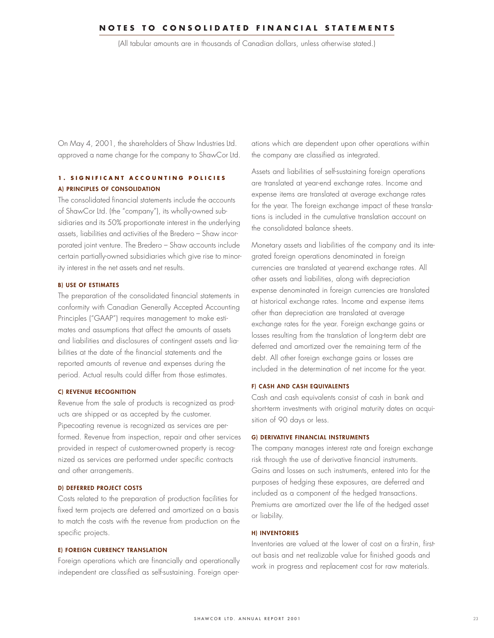(All tabular amounts are in thousands of Canadian dollars, unless otherwise stated.)

On May 4, 2001, the shareholders of Shaw Industries Ltd. approved a name change for the company to ShawCor Ltd.

# **1. SIGNIFICANT ACCOUNTING POLICIES A) PRINCIPLES OF CONSOLIDATION**

The consolidated financial statements include the accounts of ShawCor Ltd. (the "company"), its wholly-owned subsidiaries and its 50% proportionate interest in the underlying assets, liabilities and activities of the Bredero – Shaw incorporated joint venture. The Bredero – Shaw accounts include certain partially-owned subsidiaries which give rise to minority interest in the net assets and net results.

#### **B) USE OF ESTIMATES**

The preparation of the consolidated financial statements in conformity with Canadian Generally Accepted Accounting Principles ("GAAP") requires management to make estimates and assumptions that affect the amounts of assets and liabilities and disclosures of contingent assets and liabilities at the date of the financial statements and the reported amounts of revenue and expenses during the period. Actual results could differ from those estimates.

## **C) REVENUE RECOGNITION**

Revenue from the sale of products is recognized as products are shipped or as accepted by the customer. Pipecoating revenue is recognized as services are performed. Revenue from inspection, repair and other services provided in respect of customer-owned property is recognized as services are performed under specific contracts and other arrangements.

## **D) DEFERRED PROJECT COSTS**

Costs related to the preparation of production facilities for fixed term projects are deferred and amortized on a basis to match the costs with the revenue from production on the specific projects.

## **E) FOREIGN CURRENCY TRANSLATION**

Foreign operations which are financially and operationally independent are classified as self-sustaining. Foreign operations which are dependent upon other operations within the company are classified as integrated.

Assets and liabilities of self-sustaining foreign operations are translated at year-end exchange rates. Income and expense items are translated at average exchange rates for the year. The foreign exchange impact of these translations is included in the cumulative translation account on the consolidated balance sheets.

Monetary assets and liabilities of the company and its integrated foreign operations denominated in foreign currencies are translated at year-end exchange rates. All other assets and liabilities, along with depreciation expense denominated in foreign currencies are translated at historical exchange rates. Income and expense items other than depreciation are translated at average exchange rates for the year. Foreign exchange gains or losses resulting from the translation of long-term debt are deferred and amortized over the remaining term of the debt. All other foreign exchange gains or losses are included in the determination of net income for the year.

## **F) CASH AND CASH EQUIVALENTS**

Cash and cash equivalents consist of cash in bank and short-term investments with original maturity dates on acquisition of 90 days or less.

#### **G) DERIVATIVE FINANCIAL INSTRUMENTS**

The company manages interest rate and foreign exchange risk through the use of derivative financial instruments. Gains and losses on such instruments, entered into for the purposes of hedging these exposures, are deferred and included as a component of the hedged transactions. Premiums are amortized over the life of the hedged asset or liability.

#### **H) INVENTORIES**

Inventories are valued at the lower of cost on a first-in, firstout basis and net realizable value for finished goods and work in progress and replacement cost for raw materials.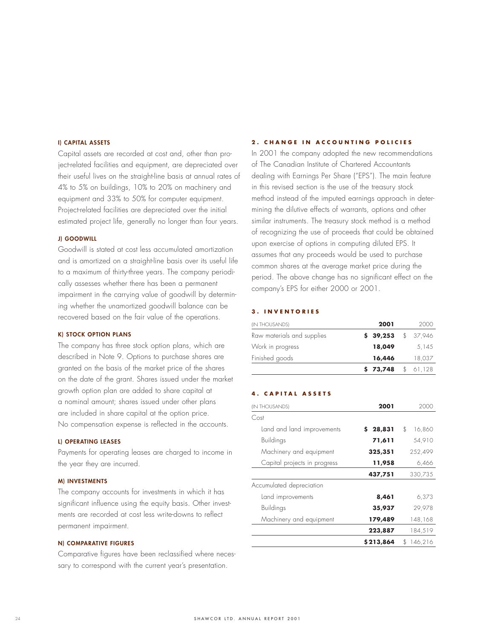## **I) CAPITAL ASSETS**

Capital assets are recorded at cost and, other than project-related facilities and equipment, are depreciated over their useful lives on the straight-line basis at annual rates of 4% to 5% on buildings, 10% to 20% on machinery and equipment and 33% to 50% for computer equipment. Project-related facilities are depreciated over the initial estimated project life, generally no longer than four years.

## **J) GOODWILL**

Goodwill is stated at cost less accumulated amortization and is amortized on a straight-line basis over its useful life to a maximum of thirty-three years. The company periodically assesses whether there has been a permanent impairment in the carrying value of goodwill by determining whether the unamortized goodwill balance can be recovered based on the fair value of the operations.

#### **K) STOCK OPTION PLANS**

The company has three stock option plans, which are described in Note 9. Options to purchase shares are granted on the basis of the market price of the shares on the date of the grant. Shares issued under the market growth option plan are added to share capital at a nominal amount; shares issued under other plans are included in share capital at the option price. No compensation expense is reflected in the accounts.

#### **L) OPERATING LEASES**

Payments for operating leases are charged to income in the year they are incurred.

## **M) INVESTMENTS**

The company accounts for investments in which it has significant influence using the equity basis. Other investments are recorded at cost less write-downs to reflect permanent impairment.

#### **N) COMPARATIVE FIGURES**

Comparative figures have been reclassified where necessary to correspond with the current year's presentation.

## **2. CHANGE IN ACCOUNTING POLICIES**

In 2001 the company adopted the new recommendations of The Canadian Institute of Chartered Accountants dealing with Earnings Per Share ("EPS"). The main feature in this revised section is the use of the treasury stock method instead of the imputed earnings approach in determining the dilutive effects of warrants, options and other similar instruments. The treasury stock method is a method of recognizing the use of proceeds that could be obtained upon exercise of options in computing diluted EPS. It assumes that any proceeds would be used to purchase common shares at the average market price during the period. The above change has no significant effect on the company's EPS for either 2000 or 2001.

#### **3. INVENTORIES**

| (IN THOUSANDS)             | 2001                | 2000     |
|----------------------------|---------------------|----------|
| Raw materials and supplies | $$39,253$ $$37,946$ |          |
| Work in progress           | 18,049              | 5.145    |
| Finished goods             | 16,446              | 18,037   |
|                            | \$73,748            | \$61,128 |

## **4. CAPITAL ASSETS**

| <b>IN THOUSANDS)</b>         | 2001      | 2000           |
|------------------------------|-----------|----------------|
| Cost                         |           |                |
| Land and land improvements   | \$28,831  | \$<br>16,860   |
| <b>Buildings</b>             | 71,611    | 54,910         |
| Machinery and equipment      | 325,351   | 252,499        |
| Capital projects in progress | 11,958    | 6,466          |
|                              | 437,751   | 330,735        |
| Accumulated depreciation     |           |                |
| Land improvements            | 8,461     | 6,373          |
| <b>Buildings</b>             | 35,937    | 29,978         |
| Machinery and equipment      | 179,489   | 148,168        |
|                              | 223,887   | 184,519        |
|                              | \$213,864 | 146,216<br>\$. |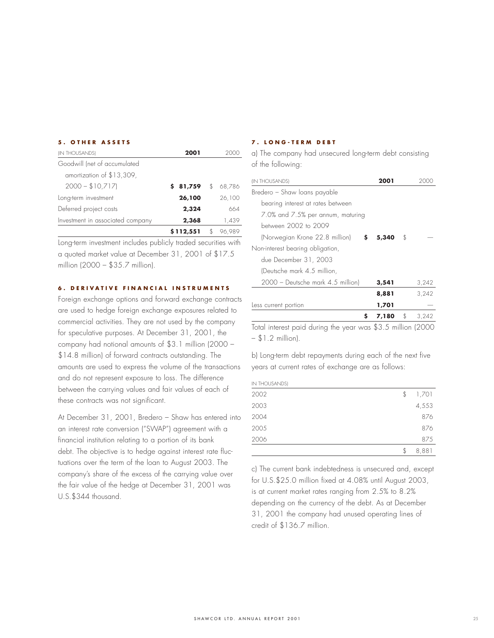#### **5. OTHER ASSETS**

| (IN THOUSANDS)                   | 2001      |     |        |
|----------------------------------|-----------|-----|--------|
| Goodwill (net of accumulated     |           |     |        |
| amortization of \$13,309,        |           |     |        |
| $2000 - $10,717$                 | 81,759    | \$. | 68.786 |
| Long-term investment             | 26,100    |     | 26,100 |
| Deferred project costs           | 2,324     |     | 664    |
| Investment in associated company | 2,368     |     | 1,439  |
|                                  | \$112,551 |     | 96,989 |

Long-term investment includes publicly traded securities with a quoted market value at December 31, 2001 of \$17.5 million (2000 – \$35.7 million).

## **6 . DER IVAT IVE F INANC IAL INSTRUMENTS**

Foreign exchange options and forward exchange contracts are used to hedge foreign exchange exposures related to commercial activities. They are not used by the company for speculative purposes. At December 31, 2001, the company had notional amounts of \$3.1 million (2000 – \$14.8 million) of forward contracts outstanding. The amounts are used to express the volume of the transactions and do not represent exposure to loss. The difference between the carrying values and fair values of each of these contracts was not significant.

At December 31, 2001, Bredero – Shaw has entered into an interest rate conversion ("SWAP") agreement with a financial institution relating to a portion of its bank debt. The objective is to hedge against interest rate fluctuations over the term of the loan to August 2003. The company's share of the excess of the carrying value over the fair value of the hedge at December 31, 2001 was U.S.\$344 thousand.

## **7. LONG-TERM DEBT**

a) The company had unsecured long-term debt consisting of the following:

| <b>IN THOUSANDS)</b>              | 2001  |             |
|-----------------------------------|-------|-------------|
| Bredero - Shaw Ioans payable      |       |             |
| bearing interest at rates between |       |             |
| 7.0% and 7.5% per annum, maturing |       |             |
| between 2002 to 2009              |       |             |
| (Norwegian Krone 22.8 million)    | 5,340 | \$          |
| Non-interest bearing obligation,  |       |             |
| due December 31, 2003             |       |             |
| (Deutsche mark 4.5 million,       |       |             |
| 2000 - Deutsche mark 4.5 million) | 3,541 | 3,242       |
|                                   | 8,881 | 3,242       |
| Less current portion              | 1,701 |             |
| S                                 | 7,180 | \$<br>3.242 |

Total interest paid during the year was \$3.5 million (2000 – \$1.2 million).

b) Long-term debt repayments during each of the next five years at current rates of exchange are as follows:

IN THOUSANDS) 2002 \$ 1,701 2003 4,553 2004 876 2005 876 2006 875

c) The current bank indebtedness is unsecured and, except for U.S.\$25.0 million fixed at 4.08% until August 2003, is at current market rates ranging from 2.5% to 8.2% depending on the currency of the debt. As at December 31, 2001 the company had unused operating lines of credit of \$136.7 million.

\$ 8,881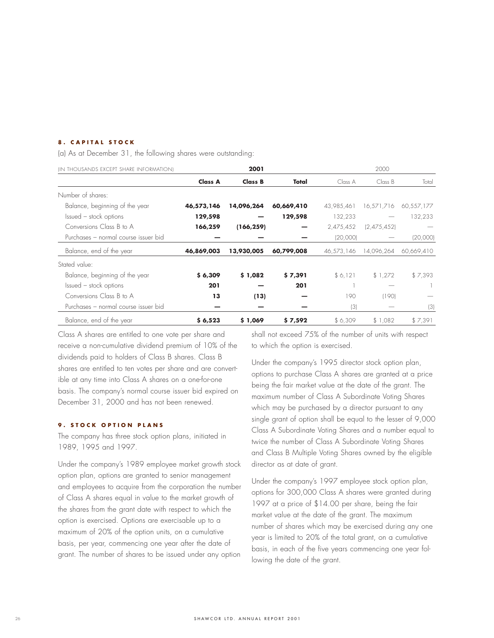## **8. CAPITAL STOCK**

(a) As at December 31, the following shares were outstanding:

| (IN THOUSANDS EXCEPT SHARE INFORMATION) |                | 2001       |            |            | 2000        |            |
|-----------------------------------------|----------------|------------|------------|------------|-------------|------------|
|                                         | <b>Class A</b> | Class B    | Total      | Class A    | Class B     | Total      |
| Number of shares:                       |                |            |            |            |             |            |
| Balance, beginning of the year          | 46,573,146     | 14,096,264 | 60,669,410 | 43,985,461 | 16,571,716  | 60,557,177 |
| Issued – stock options                  | 129,598        |            | 129,598    | 132,233    |             | 132,233    |
| Conversions Class B to A                | 166,259        | (166, 259) |            | 2,475,452  | (2,475,452) |            |
| Purchases - normal course issuer bid    |                |            |            | (20,000)   |             | (20,000)   |
| Balance, end of the year                | 46,869,003     | 13,930,005 | 60,799,008 | 46,573,146 | 14,096,264  | 60,669,410 |
| Stated value:                           |                |            |            |            |             |            |
| Balance, beginning of the year          | \$6,309        | \$1,082    | \$7,391    | \$6,121    | \$1,272     | \$7,393    |
| Issued – stock options                  | 201            |            | 201        |            |             |            |
| Conversions Class B to A                | 13             | (13)       |            | 190        | (190)       |            |
| Purchases - normal course issuer bid    |                |            |            | (3)        |             | (3)        |
| Balance, end of the year                | \$6,523        | \$1,069    | \$7,592    | \$6,309    | \$1,082     | \$7,391    |

Class A shares are entitled to one vote per share and receive a non-cumulative dividend premium of 10% of the dividends paid to holders of Class B shares. Class B shares are entitled to ten votes per share and are convertible at any time into Class A shares on a one-for-one basis. The company's normal course issuer bid expired on December 31, 2000 and has not been renewed.

## **9. STOCK OPTION PLANS**

The company has three stock option plans, initiated in 1989, 1995 and 1997.

Under the company's 1989 employee market growth stock option plan, options are granted to senior management and employees to acquire from the corporation the number of Class A shares equal in value to the market growth of the shares from the grant date with respect to which the option is exercised. Options are exercisable up to a maximum of 20% of the option units, on a cumulative basis, per year, commencing one year after the date of grant. The number of shares to be issued under any option

shall not exceed 75% of the number of units with respect to which the option is exercised.

Under the company's 1995 director stock option plan, options to purchase Class A shares are granted at a price being the fair market value at the date of the grant. The maximum number of Class A Subordinate Voting Shares which may be purchased by a director pursuant to any single grant of option shall be equal to the lesser of 9,000 Class A Subordinate Voting Shares and a number equal to twice the number of Class A Subordinate Voting Shares and Class B Multiple Voting Shares owned by the eligible director as at date of grant.

Under the company's 1997 employee stock option plan, options for 300,000 Class A shares were granted during 1997 at a price of \$14.00 per share, being the fair market value at the date of the grant. The maximum number of shares which may be exercised during any one year is limited to 20% of the total grant, on a cumulative basis, in each of the five years commencing one year following the date of the grant.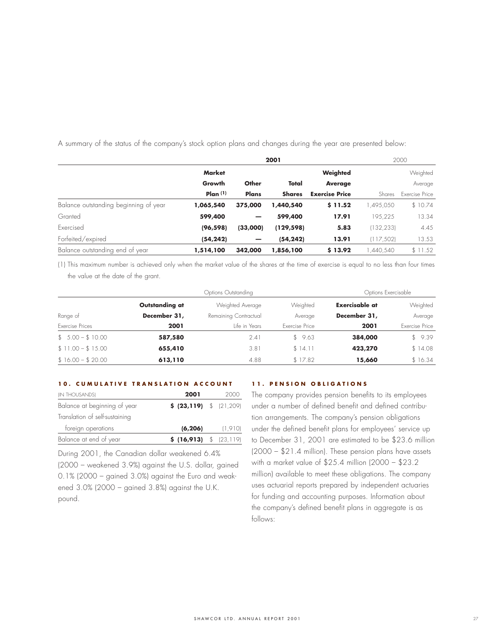|                                       | 2001                |          |               |                       | 2000       |                |  |
|---------------------------------------|---------------------|----------|---------------|-----------------------|------------|----------------|--|
|                                       | <b>Market</b>       |          |               | Weighted              |            | Weighted       |  |
|                                       | Growth              | Other    | Total         | <b>Average</b>        |            | Average        |  |
|                                       | Plan <sub>(1)</sub> | Plans    | <b>Shares</b> | <b>Exercise Price</b> | Shares     | Exercise Price |  |
| Balance outstanding beginning of year | 1,065,540           | 375,000  | 1,440,540     | \$11.52               | ,495,050   | \$10.74        |  |
| Granted                               | 599,400             | -        | 599,400       | 17.91                 | 195,225    | 13.34          |  |
| Exercised                             | (96, 598)           | (33,000) | (129, 598)    | 5.83                  | (132, 233) | 4.45           |  |
| Forfeited/expired                     | (54, 242)           |          | (54, 242)     | 13.91                 | (117, 502) | 13.53          |  |
| Balance outstanding end of year       | 1,514,100           | 342,000  | 1,856,100     | \$13.92               | .440.540   | \$11.52        |  |

A summary of the status of the company's stock option plans and changes during the year are presented below:

(1) This maximum number is achieved only when the market value of the shares at the time of exercise is equal to no less than four times the value at the date of the grant.

|                   |                | Options Outstanding   | Options Exercisable |                       |                |
|-------------------|----------------|-----------------------|---------------------|-----------------------|----------------|
|                   | Outstanding at | Weighted Average      | Weighted            | <b>Exercisable at</b> | Weighted       |
| Range of          | December 31,   | Remaining Contractual | Average             | December 31,          | Average        |
| Exercise Prices   | 2001           | Life in Years         | Exercise Price      | 2001                  | Exercise Price |
| $$5.00 - $10.00$  | 587,580        | 2.41                  | \$9.63              | 384,000               | \$9.39         |
| $$11.00 - $15.00$ | 655,410        | 3.81                  | \$14.11             | 423,270               | \$14.08        |
| $$16.00 - $20.00$ | 613,110        | 4.88                  | \$17.82             | 15,660                | \$16.34        |

#### **10. CUMULATIVE TRANSLATION ACCOUNT**

| (IN THOUSANDS)                 | 2001                       | 2000    |
|--------------------------------|----------------------------|---------|
| Balance at beginning of year   | $$ (23,119) $ \t (21,209)$ |         |
| Translation of self-sustaining |                            |         |
| foreign operations             | (6, 206)                   | (1,910) |
| Balance at end of year         | \$ (16,913) \$ (23,119)    |         |

During 2001, the Canadian dollar weakened 6.4% (2000 – weakened 3.9%) against the U.S. dollar, gained 0.1% (2000 – gained 3.0%) against the Euro and weakened 3.0% (2000 – gained 3.8%) against the U.K. pound.

## **11. PENSION OBLIGATIONS**

The company provides pension benefits to its employees under a number of defined benefit and defined contribution arrangements. The company's pension obligations under the defined benefit plans for employees' service up to December 31, 2001 are estimated to be \$23.6 million (2000 – \$21.4 million). These pension plans have assets with a market value of \$25.4 million (2000 – \$23.2 million) available to meet these obligations. The company uses actuarial reports prepared by independent actuaries for funding and accounting purposes. Information about the company's defined benefit plans in aggregate is as follows: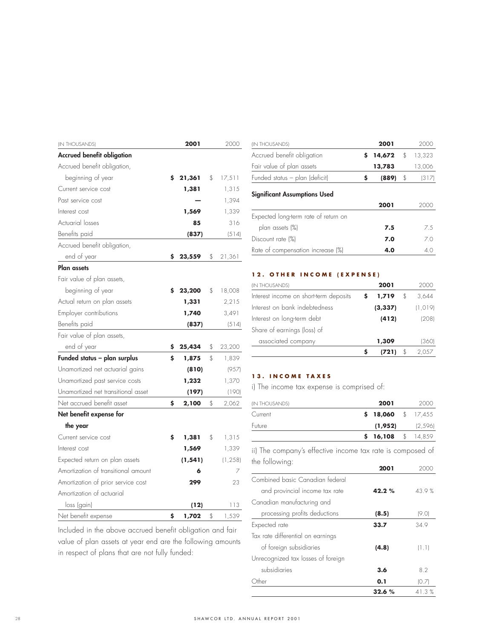| (IN THOUSANDS)                      |    | 2001     | 2000         |
|-------------------------------------|----|----------|--------------|
| <b>Accrued benefit obligation</b>   |    |          |              |
| Accrued benefit obligation,         |    |          |              |
| beginning of year                   | \$ | 21,361   | \$<br>17,511 |
| Current service cost                |    | 1,381    | 1,315        |
| Past service cost                   |    |          | 1,394        |
| Interest cost                       |    | 1,569    | 1,339        |
| Actuarial losses                    |    | 85       | 316          |
| Benefits paid                       |    | (837)    | (514)        |
| Accrued benefit obligation,         |    |          |              |
| end of year                         | \$ | 23,559   | \$<br>21,361 |
| <b>Plan assets</b>                  |    |          |              |
| Fair value of plan assets,          |    |          |              |
| beginning of year                   | Ś  | 23,200   | \$<br>18,008 |
| Actual return on plan assets        |    | 1,331    | 2,215        |
| Employer contributions              |    | 1,740    | 3,491        |
| Benefits paid                       |    | (837)    | (514)        |
| Fair value of plan assets,          |    |          |              |
| end of year                         | Ş  | 25,434   | \$<br>23,200 |
| Funded status - plan surplus        | \$ | 1,875    | \$<br>1,839  |
| Unamortized net actuarial gains     |    | (810)    | (957)        |
| Unamortized past service costs      |    | 1,232    | 1,370        |
| Unamortized net transitional asset  |    | (197)    | (190)        |
| Net accrued benefit asset           | \$ | 2,100    | \$<br>2,062  |
| Net benefit expense for             |    |          |              |
| the year                            |    |          |              |
| Current service cost                | \$ | 1,381    | \$<br>1,315  |
| Interest cost                       |    | 1,569    | 1,339        |
| Expected return on plan assets      |    | (1, 541) | (1, 258)     |
| Amortization of transitional amount |    | 6        | 7            |
| Amortization of prior service cost  |    | 299      | 23           |
| Amortization of actuarial           |    |          |              |
| loss (gain)                         |    | (12)     | 113          |
| Net benefit expense                 | \$ | 1,702    | \$<br>1,539  |
|                                     |    |          |              |

| Included in the above accrued benefit obligation and fair  |
|------------------------------------------------------------|
| value of plan assets at year end are the following amounts |
| in respect of plans that are not fully funded:             |

| (IN THOUSANDS)                       |    | 2001   | 2000         |
|--------------------------------------|----|--------|--------------|
| Accrued benefit obligation           | \$ | 14,672 | \$<br>13,323 |
| Fair value of plan assets            |    | 13,783 | 13,006       |
| Funded status - plan (deficit)       | s  | (889)  | \$<br>(317)  |
| <b>Significant Assumptions Used</b>  |    | 2001   | 200C         |
| Expected long-term rate of return on |    |        |              |
| plan assets (%)                      |    | 7.5    | 7.5          |
| Discount rate (%)                    |    | 7.0    | 7.0          |
| Rate of compensation increase (%)    |    | 4.0    | 4.0          |

## **12. OTHER INCOME (EXPENSE)**

| (IN THOUSANDS)                         | 2001     |    |          |
|----------------------------------------|----------|----|----------|
| Interest income on short-term deposits | 1,719    | S  | 3,644    |
| Interest on bank indebtedness          | (3, 337) |    | (1, 019) |
| Interest on long-term debt             | (412)    |    | (208)    |
| Share of earnings (loss) of            |          |    |          |
| associated company                     | 1,309    |    | (360)    |
|                                        | (721)    | \$ | 2,057    |

## **13. INCOME TAXES**

i) The income tax expense is comprised of:

| (IN THOUSANDS) | 2001                           |               | 2000    |
|----------------|--------------------------------|---------------|---------|
| Current        | $\frac{1}{2}$ 18,060 \$ 17,455 |               |         |
| Future         | (1,952)                        |               | (2,596) |
|                | 16,108                         | $\mathcal{S}$ | 14,859  |

ii) The company's effective income tax rate is composed of the following: **2001** 2000

| Combined basic Canadian federal    |           |       |
|------------------------------------|-----------|-------|
| and provincial income tax rate     | 42.2%     | 43.9% |
| Canadian manufacturing and         |           |       |
| processing profits deductions      | (8.5)     | (9.0) |
| Expected rate                      | 33.7      | 34.9  |
| Tax rate differential on earnings  |           |       |
| of foreign subsidiaries            | (4.8)     | (1.1) |
| Unrecognized tax losses of foreign |           |       |
| subsidiaries                       | 3.6       | 8.2   |
| Other                              | 0.1       | (0.7) |
|                                    | $32.6 \%$ | 41.3% |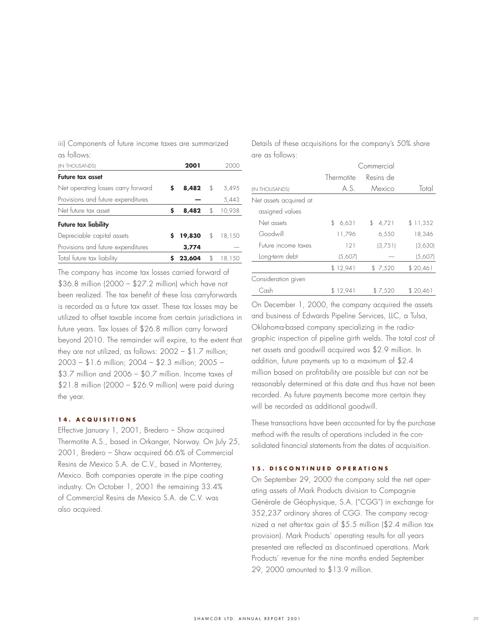| iii) Components of future income taxes are summarized |  |  |  |  |
|-------------------------------------------------------|--|--|--|--|
| as follows:                                           |  |  |  |  |

| us ioiluws.                        |     |        |         |        |
|------------------------------------|-----|--------|---------|--------|
| (IN THOUSANDS)                     |     | 2001   |         | 2000   |
| <b>Future tax asset</b>            |     |        |         |        |
| Net operating losses carry forward | \$. | 8,482  | \$      | 5,495  |
| Provisions and future expenditures |     |        |         | 5,443  |
| Net future tax asset               | S   | 8,482  | \$      | 10,938 |
| Future tax liability               |     |        |         |        |
| Depreciable capital assets         | S.  | 19,830 | $\oint$ | 18,150 |
| Provisions and future expenditures |     | 3,774  |         |        |
| Total future tax liability         |     | 23,604 | \$      | 18,150 |
|                                    |     |        |         |        |

The company has income tax losses carried forward of \$36.8 million (2000 – \$27.2 million) which have not been realized. The tax benefit of these loss carryforwards is recorded as a future tax asset. These tax losses may be utilized to offset taxable income from certain jurisdictions in future years. Tax losses of \$26.8 million carry forward beyond 2010. The remainder will expire, to the extent that they are not utilized, as follows: 2002 – \$1.7 million; 2003 – \$1.6 million; 2004 – \$2.3 million; 2005 – \$3.7 million and 2006 – \$0.7 million. Income taxes of \$21.8 million (2000 – \$26.9 million) were paid during the year.

#### **14. ACQUISITIONS**

Effective January 1, 2001, Bredero – Shaw acquired Thermotite A.S., based in Orkanger, Norway. On July 25, 2001, Bredero – Shaw acquired 66.6% of Commercial Resins de Mexico S.A. de C.V., based in Monterrey, Mexico. Both companies operate in the pipe coating industry. On October 1, 2001 the remaining 33.4% of Commercial Resins de Mexico S.A. de C.V. was also acquired.

Details of these acquisitions for the company's 50% share are as follows:

|                        | Commercial   |             |          |  |  |
|------------------------|--------------|-------------|----------|--|--|
|                        | Thermotite   | Resins de   |          |  |  |
| <b>IN THOUSANDS)</b>   | A.S.         | Mexico      | Total    |  |  |
| Net assets acquired at |              |             |          |  |  |
| assigned values        |              |             |          |  |  |
| Net assets             | 6,631<br>\$. | 4,721<br>\$ | \$11,352 |  |  |
| Goodwill               | 11,796       | 6,550       | 18.346   |  |  |
| Future income taxes    | 121          | (3,751)     | (3,630)  |  |  |
| Long-term debt         | (5,607)      |             | (5,607)  |  |  |
|                        | \$12,941     | \$7,520     | \$20,461 |  |  |
| Consideration given    |              |             |          |  |  |
| Cash                   | \$12,941     | \$7,520     | \$20,46] |  |  |

On December 1, 2000, the company acquired the assets and business of Edwards Pipeline Services, LLC, a Tulsa, Oklahoma-based company specializing in the radiographic inspection of pipeline girth welds. The total cost of net assets and goodwill acquired was \$2.9 million. In addition, future payments up to a maximum of \$2.4 million based on profitability are possible but can not be reasonably determined at this date and thus have not been recorded. As future payments become more certain they will be recorded as additional goodwill.

These transactions have been accounted for by the purchase method with the results of operations included in the consolidated financial statements from the dates of acquisition.

## **15. DISCONTINUED OPERATIONS**

On September 29, 2000 the company sold the net operating assets of Mark Products division to Compagnie Générale de Géophysique, S.A. ("CGG") in exchange for 352,237 ordinary shares of CGG. The company recognized a net after-tax gain of \$5.5 million (\$2.4 million tax provision). Mark Products' operating results for all years presented are reflected as discontinued operations. Mark Products' revenue for the nine months ended September 29, 2000 amounted to \$13.9 million.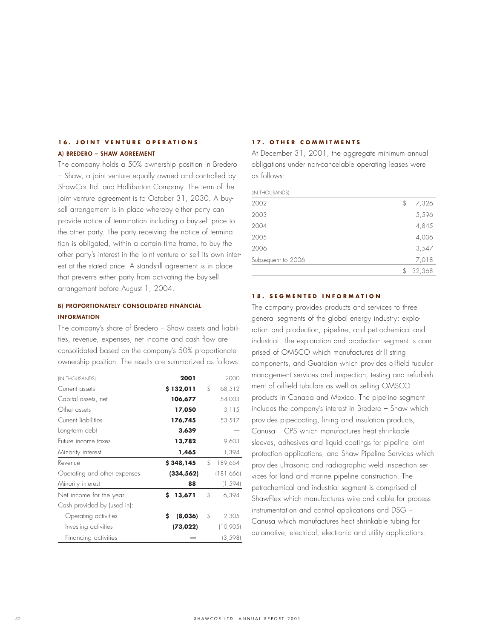## **16. JOINT VENTURE OPERATIONS A) BREDERO – SHAW AGREEMENT**

The company holds a 50% ownership position in Bredero – Shaw, a joint venture equally owned and controlled by ShawCor Ltd. and Halliburton Company. The term of the joint venture agreement is to October 31, 2030. A buysell arrangement is in place whereby either party can provide notice of termination including a buy-sell price to the other party. The party receiving the notice of termination is obligated, within a certain time frame, to buy the other party's interest in the joint venture or sell its own interest at the stated price. A standstill agreement is in place that prevents either party from activating the buy-sell arrangement before August 1, 2004.

# **B) PROPORTIONATELY CONSOLIDATED FINANCIAL INFORMATION**

The company's share of Bredero – Shaw assets and liabilities, revenue, expenses, net income and cash flow are consolidated based on the company's 50% proportionate ownership position. The results are summarized as follows:

| (IN THOUSANDS)               | 2001          | 2000          |
|------------------------------|---------------|---------------|
| Current assets               | \$132,011     | \$<br>68,512  |
| Capital assets, net          | 106,677       | 54,003        |
| Other assets                 | 17,050        | 3.115         |
| Current liabilities          | 176,745       | 53,517        |
| Long-term debt               | 3,639         |               |
| Future income taxes          | 13,782        | 9,603         |
| Minority interest            | 1,465         | 1,394         |
| Revenue                      | \$348,145     | \$<br>189,654 |
| Operating and other expenses | (334, 562)    | (181,666)     |
| Minority interest            | 88            | (1, 594)      |
| Net income for the year      | \$<br>13,671  | \$<br>6,394   |
| Cash provided by (used in):  |               |               |
| Operating activities         | \$<br>(8,036) | \$<br>12,305  |
| Investing activities         | (73, 022)     | (10,905)      |
| Financing activities         |               | (3, 598)      |

#### **17. OTHER COMMITMENTS**

At December 31, 2001, the aggregate minimum annual obligations under non-cancelable operating leases were as follows:

| (IN THOUSANDS)     |              |
|--------------------|--------------|
| 2002               | \$<br>7,326  |
| 2003               | 5,596        |
| 2004               | 4,845        |
| 2005               | 4,036        |
| 2006               | 3,547        |
| Subsequent to 2006 | 7,018        |
|                    | \$<br>32,368 |

## **18. SEGMENTED INFORMATION**

The company provides products and services to three general segments of the global energy industry: exploration and production, pipeline, and petrochemical and industrial. The exploration and production segment is comprised of OMSCO which manufactures drill string components, and Guardian which provides oilfield tubular management services and inspection, testing and refurbishment of oilfield tubulars as well as selling OMSCO products in Canada and Mexico. The pipeline segment includes the company's interest in Bredero – Shaw which provides pipecoating, lining and insulation products, Canusa – CPS which manufactures heat shrinkable sleeves, adhesives and liquid coatings for pipeline joint protection applications, and Shaw Pipeline Services which provides ultrasonic and radiographic weld inspection services for land and marine pipeline construction. The petrochemical and industrial segment is comprised of ShawFlex which manufactures wire and cable for process instrumentation and control applications and DSG – Canusa which manufactures heat shrinkable tubing for automotive, electrical, electronic and utility applications.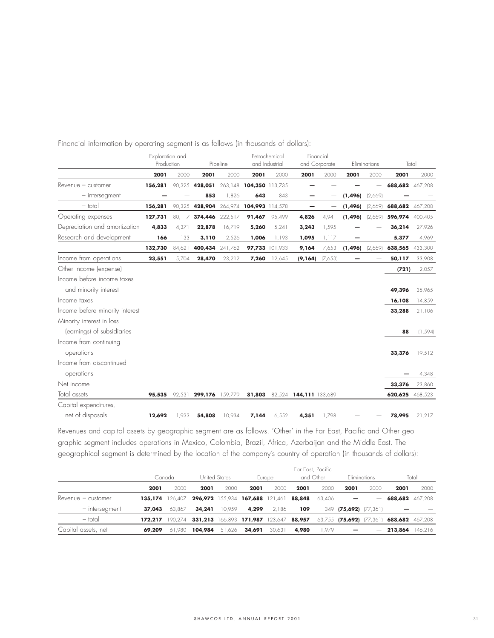|                                 | Exploration and |        |                                        |          | Petrochemical   |                | Financial              |                          |          |              |                 |          |
|---------------------------------|-----------------|--------|----------------------------------------|----------|-----------------|----------------|------------------------|--------------------------|----------|--------------|-----------------|----------|
|                                 | Production      |        |                                        | Pipeline |                 | and Industrial | and Corporate          |                          |          | Eliminations | Total           |          |
|                                 | 2001            | 2000   | 2001                                   | 2000     | 2001            | 2000           | 2001                   | 2000                     | 2001     | 2000         | 2001            | 2000     |
| $Re$ venue $-$ customer         | 156,281         |        | 90.325 428,051 263,148 104,350 113,735 |          |                 |                |                        |                          |          |              | 688,682 467,208 |          |
| $-$ intersegment                |                 |        | 853                                    | 1,826    | 643             | 843            |                        | $\overline{\phantom{0}}$ | (1, 496) | (2,669)      |                 |          |
| $-$ total                       | 156,281         | 90,325 | 428,904 264,974                        |          | 104,993 114,578 |                |                        | —                        | (1, 496) | [2,669]      | 688,682 467,208 |          |
| Operating expenses              | 127,731         | 80,117 | 374,446 222,517                        |          | 91,467          | 95,499         | 4,826                  | 4,941                    | (1,496)  | (2,669)      | 596,974         | 400,405  |
| Depreciation and amortization   | 4,833           | 4,371  | 22,878                                 | 16,719   | 5,260           | 5,241          | 3,243                  | 1,595                    |          |              | 36,214          | 27,926   |
| Research and development        | 166             | 133    | 3,110                                  | 2,526    | 1,006           | 1,193          | 1,095                  | 1,117                    |          |              | 5,377           | 4,969    |
|                                 | 132,730         | 84,621 | 400,434 241,762                        |          | 97,733 101,933  |                | 9,164                  | 7,653                    | (1,496)  | (2,669)      | 638,565         | 433,300  |
| Income from operations          | 23,551          | 5,704  | 28,470                                 | 23,212   | 7,260           | 12,645         | (9, 164)               | (7,653)                  |          |              | 50,117          | 33,908   |
| Other income (expense)          |                 |        |                                        |          |                 |                |                        |                          |          |              | (721)           | 2,057    |
| Income before income taxes      |                 |        |                                        |          |                 |                |                        |                          |          |              |                 |          |
| and minority interest           |                 |        |                                        |          |                 |                |                        |                          |          |              | 49,396          | 35,965   |
| Income taxes                    |                 |        |                                        |          |                 |                |                        |                          |          |              | 16,108          | 14,859   |
| Income before minority interest |                 |        |                                        |          |                 |                |                        |                          |          |              | 33,288          | 21,106   |
| Minority interest in loss       |                 |        |                                        |          |                 |                |                        |                          |          |              |                 |          |
| (earnings) of subsidiaries      |                 |        |                                        |          |                 |                |                        |                          |          |              | 88              | (1, 594) |
| Income from continuing          |                 |        |                                        |          |                 |                |                        |                          |          |              |                 |          |
| operations                      |                 |        |                                        |          |                 |                |                        |                          |          |              | 33,376          | 19,512   |
| Income from discontinued        |                 |        |                                        |          |                 |                |                        |                          |          |              |                 |          |
| operations                      |                 |        |                                        |          |                 |                |                        |                          |          |              |                 | 4,348    |
| Net income                      |                 |        |                                        |          |                 |                |                        |                          |          |              | 33,376          | 23,860   |
| Total assets                    | 95,535          |        | 92,531 299,176 159,779                 |          | 81,803          |                | 82,524 144,111 133,689 |                          |          |              | 620,625         | 468,523  |
| Capital expenditures,           |                 |        |                                        |          |                 |                |                        |                          |          |              |                 |          |
| net of disposals                | 12,692          | 1,933  | 54,808                                 | 10,934   | 7,144           | 6,552          | 4,351                  | 1,798                    |          |              | 78,995          | 21,217   |

Financial information by operating segment is as follows (in thousands of dollars):

Revenues and capital assets by geographic segment are as follows. 'Other' in the Far East, Pacific and Other geographic segment includes operations in Mexico, Colombia, Brazil, Africa, Azerbaijan and the Middle East. The geographical segment is determined by the location of the company's country of operation (in thousands of dollars):

|                         |         |         |               |        |                                |         |           | Far East, Pacific |                       |      |                                          |         |
|-------------------------|---------|---------|---------------|--------|--------------------------------|---------|-----------|-------------------|-----------------------|------|------------------------------------------|---------|
|                         | Canada  |         | United States |        |                                | Europe  | and Other |                   | Eliminations          |      | Total                                    |         |
|                         | 2001    | 2000    | 2001          | 2000   | 2001                           | 2000    | 2001      | 2000              | 2001                  | 2000 | 2001                                     | 2000    |
| $Re$ venue $-$ customer | 135.174 | 126.407 |               |        | 296,972 155,934 167,688        | 121.461 | 88,848    | 63.406            |                       | -    | 688,682 467.208                          |         |
| - intersegment          | 37,043  | 63.867  | 34,241        | 10.959 | 4,299                          | 2.186   | 109       |                   | 349 (75,692) (77,361) |      |                                          |         |
| - total                 | 172.217 | 190.274 | 331,213       |        | 166,893 171,987 123,647 88,957 |         |           |                   |                       |      | 63,755 (75,692) (77,361) 688,682 467,208 |         |
| Capital assets, net     | 69,209  | 61.980  | 104,984       | 51.626 | 34,691                         | 30.631  | 4,980     | .979              |                       | -    | 213,864                                  | 146,216 |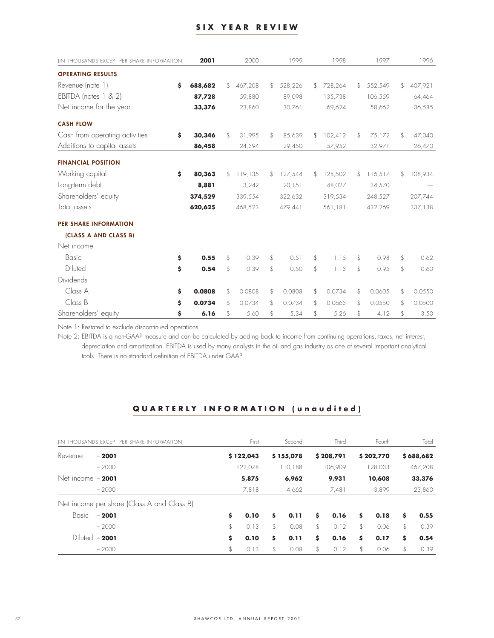## **SIX YEAR REVIEW**

| (IN THOUSANDS EXCEPT PER SHARE INFORMATION) | 2001          |                | 2000    | 1999          |                | 1998    | 1997          | 1996          |
|---------------------------------------------|---------------|----------------|---------|---------------|----------------|---------|---------------|---------------|
| <b>OPERATING RESULTS</b>                    |               |                |         |               |                |         |               |               |
| Revenue (note 1)                            | \$<br>688,682 | $\mathfrak{F}$ | 467,208 | \$<br>528,226 | $\mathcal{L}$  | 728,264 | \$<br>552,549 | \$<br>407,921 |
| EBITDA (notes 1 & 2)                        | 87,728        |                | 59,880  | 89.098        |                | 135,738 | 106,559       | 64,464        |
| Net income for the year                     | 33,376        |                | 23,860  | 30,761        |                | 69,624  | 58,662        | 36,585        |
| <b>CASH FLOW</b>                            |               |                |         |               |                |         |               |               |
| Cash from operating activities              | \$<br>30,346  | \$             | 31,995  | \$<br>85,639  | \$             | 102,412 | \$<br>75,172  | \$<br>47,040  |
| Additions to capital assets                 | 86,458        |                | 24,394  | 29,450        |                | 57,952  | 32,971        | 26,470        |
| <b>FINANCIAL POSITION</b>                   |               |                |         |               |                |         |               |               |
| Working capital                             | \$<br>80,363  | \$             | 119,135 | \$<br>127,544 | \$             | 128,502 | \$<br>116,517 | \$<br>108,934 |
| Long-term debt                              | 8,881         |                | 3,242   | 20,151        |                | 48,027  | 34,570        |               |
| Shareholders' equity                        | 374,529       |                | 339,554 | 322,632       |                | 319,534 | 248,527       | 207,744       |
| Total assets                                | 620,625       |                | 468,523 | 479,441       |                | 561,181 | 432,269       | 337,138       |
| PER SHARE INFORMATION                       |               |                |         |               |                |         |               |               |
| (CLASS A AND CLASS B)                       |               |                |         |               |                |         |               |               |
| Net income                                  |               |                |         |               |                |         |               |               |
| Basic                                       | \$<br>0.55    | \$             | 0.39    | \$<br>0.51    | \$             | 1.15    | \$<br>0.98    | \$<br>0.62    |
| Diluted                                     | \$<br>0.54    | \$             | 0.39    | \$<br>0.50    | $\mathfrak{F}$ | 1.13    | \$<br>0.95    | \$<br>0.60    |
| Dividends                                   |               |                |         |               |                |         |               |               |
| Class A                                     | \$<br>0.0808  | \$             | 0.0808  | \$<br>0.0808  | \$             | 0.0734  | \$<br>0.0605  | \$<br>0.0550  |
| Class B                                     | \$<br>0.0734  | $\mathfrak{L}$ | 0.0734  | \$<br>0.0734  | \$.            | 0.0663  | \$<br>0.0550  | \$<br>0.0500  |
| Shareholders' equity                        | \$<br>6.16    | \$             | 5.60    | \$<br>5.34    | \$             | 5.26    | \$<br>4.12    | \$<br>3.50    |

Note 1: Restated to exclude discontinued operations.

Note 2: EBITDA is a non-GAAP measure and can be calculated by adding back to income from continuing operations, taxes, net interest, depreciation and amortization. EBITDA is used by many analysts in the oil and gas industry as one of several important analytical tools. There is no standard definition of EBITDA under GAAP.

# **QUARTERLY INFORMATION (unaudited)**

| (IN THOUSANDS EXCEPT PER SHARE INFORMATION) |                                            | First |           |       | Second    | Third |           | Fourth |           | Total  |           |
|---------------------------------------------|--------------------------------------------|-------|-----------|-------|-----------|-------|-----------|--------|-----------|--------|-----------|
| Revenue                                     | $-2001$                                    |       | \$122,043 |       | \$155,078 |       | \$208,791 |        | \$202,770 |        | \$688,682 |
|                                             | $-2000$                                    |       | 122,078   |       | 110,188   |       | 106.909   |        | 128,033   |        | 467,208   |
| Net income $-2001$<br>$-2000$               |                                            |       | 5,875     | 6,962 |           | 9,931 |           | 10,608 |           | 33,376 |           |
|                                             |                                            | 7,818 |           | 4,662 |           | 7,481 |           | 3,899  |           | 23,860 |           |
|                                             | Net income per share (Class A and Class B) |       |           |       |           |       |           |        |           |        |           |
| Basic                                       | $-2001$                                    | \$    | 0.10      | Ŝ.    | 0.11      | \$    | 0.16      | \$     | 0.18      | s      | 0.55      |
|                                             | $-2000$                                    | \$    | 0.13      | \$    | 0.08      | \$    | 0.12      | \$     | 0.06      | \$     | 0.39      |
|                                             | Diluted $-2001$                            | \$    | 0.10      | Ś.    | 0.11      | \$    | 0.16      | \$     | 0.17      | \$     | 0.54      |
|                                             | $-2000$                                    | \$    | 0.13      | \$    | 0.08      | \$    | 0.12      | \$     | 0.06      | \$     | 0.39      |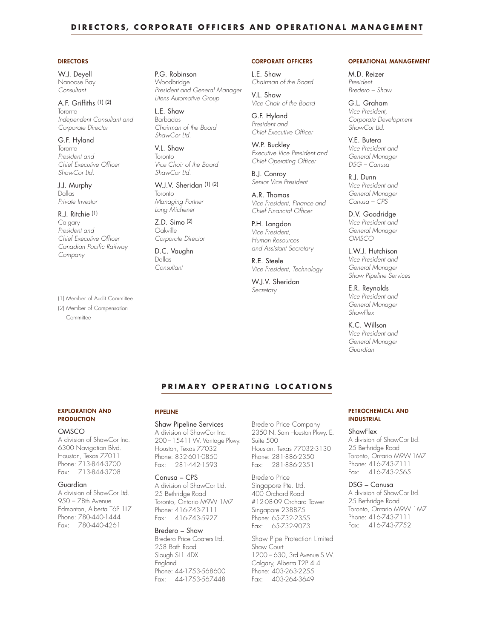## **DIRECTORS, CORPORATE OFFICERS AND OPERATIONAL MANAGEMENT**

#### **DIRECTORS**

W.J. Deyell Nanoose Bay *Consultant*

#### A.F. Griffiths (1) (2) Toronto *Independent Consultant and Corporate Director*

G.F. Hyland Toronto *President and Chief Executive Officer ShawCor Ltd.*

J.J. Murphy Dallas *Private Investor*

#### R.J. Ritchie (1)

Calgary *President and Chief Executive Officer Canadian Pacific Railway Company*

(1) Member of Audit Committee (2) Member of Compensation Committee

P.G. Robinson Woodbridge *President and General Manager Litens Automotive Group*

L.E. Shaw Barbados *Chairman of the Board ShawCor Ltd.*

V.L. Shaw Toronto *Vice Chair of the Board ShawCor Ltd.*

W.J.V. Sheridan (1) (2) Toronto *Managing Partner Lang Michener*

Z.D. Simo (2) Oakville *Corporate Director*

D.C. Vaughn Dallas *Consultant*

#### **CORPORATE OFFICERS**

L.E. Shaw *Chairman of the Board*

*Vice Chair of the Board* G.F. Hyland *President and Chief Executive Officer*

V.L. Shaw

W.P. Buckley *Executive Vice President and Chief Operating Officer* 

B.J. Conroy *Senior Vice President*

A.R. Thomas *Vice President, Finance and Chief Financial Officer*

P.H. Langdon *Vice President, Human Resources and Assistant Secretary*

R.E. Steele *Vice President, Technology*

W.J.V. Sheridan *Secretary* 

#### **OPERATIONAL MANAGEMENT**

M.D. Reizer *President Bredero – Shaw*

G.L. Graham *Vice President, Corporate Development ShawCor Ltd.*

V.E. Butera *Vice President and General Manager DSG – Canusa*

R.J. Dunn *Vice President and General Manager Canusa – CPS*

D.V. Goodridge *Vice President and*

*General Manager OMSCO*

L.W.J. Hutchison *Vice President and General Manager Shaw Pipeline Services*

E.R. Reynolds *Vice President and General Manager ShawFlex*

K.C. Willson

*Vice President and General Manager Guardian*

## **PRIMARY OPERATING LOCATIONS**

#### **EXPLORATION AND PRODUCTION**

#### **OMSCO**

A division of ShawCor Inc. 6300 Navigation Blvd. Houston, Texas 77011 Phone: 713-844-3700 Fax: 713-844-3708

#### Guardian

A division of ShawCor Ltd. 950 – 78th Avenue Edmonton, Alberta T6P 1L7 Phone: 780-440-1444 Fax: 780-440-4261

## **PIPELINE**

Shaw Pipeline Services A division of ShawCor Inc. 200 –15411 W. Vantage Pkwy. Houston, Texas 77032 Phone: 832-601-0850 Fax: 281-442-1593

#### Canusa – CPS

A division of ShawCor Ltd. 25 Bethridge Road Toronto, Ontario M9W 1M7 Phone: 416-743-7111 Fax: 416-743-5927

#### Bredero – Shaw

Bredero Price Coaters Ltd. 258 Bath Road Slough SL1 4DX England Phone: 44-1753-568600 Fax: 44-1753-567448

Bredero Price Company 2350 N. Sam Houston Pkwy. E. Suite 500 Houston, Texas 77032-3130 Phone: 281-886-2350 Fax: 281-886-2351

Bredero Price Singapore Pte. Ltd. 400 Orchard Road #12-08-09 Orchard Tower Singapore 238875 Phone: 65-732-2355 Fax: 65-732-9073

Shaw Pipe Protection Limited Shaw Court 1200 – 630, 3rd Avenue S.W. Calgary, Alberta T2P 4L4 Phone: 403-263-2255 Fax: 403-264-3649

#### **PETROCHEMICAL AND INDUSTRIAL**

#### **ShawFlex**

A division of ShawCor Ltd. 25 Bethridge Road Toronto, Ontario M9W 1M7 Phone: 416-743-7111 Fax: 416-743-2565

#### DSG – Canusa

A division of ShawCor Ltd. 25 Bethridge Road Toronto, Ontario M9W 1M7 Phone: 416-743-7111 Fax: 416-743-7752